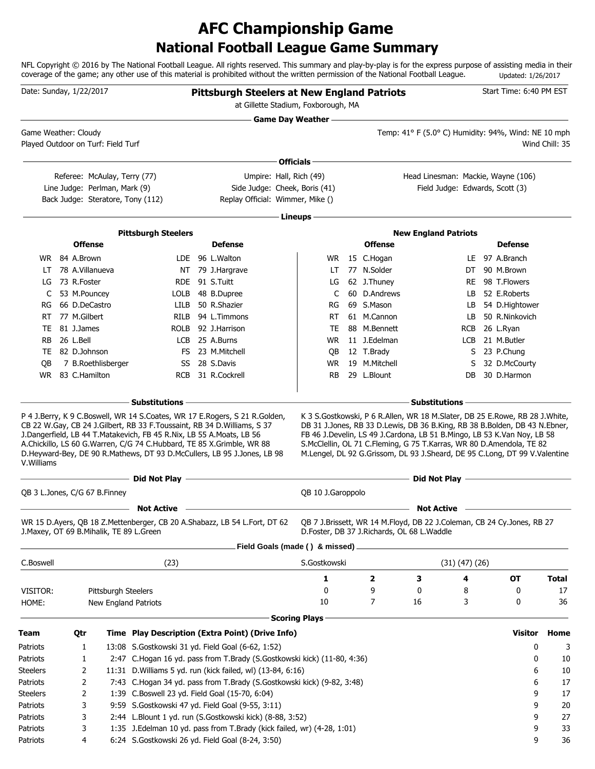# **National Football League Game Summary AFC Championship Game**

NFL Copyright © 2016 by The National Football League. All rights reserved. This summary and play-by-play is for the express purpose of assisting media in their coverage of the game; any other use of this material is prohibited without the written permission of the National Football League. Updated: 1/26/2017

| Date: Sunday, 1/22/2017                                    |                 |                               |                                                                                                                                               | <b>Pittsburgh Steelers at New England Patriots</b><br>at Gillette Stadium, Foxborough, MA                                                                                                       |                           |                                            |                                                                                                                                                                                                                               |            |                | Start Time: 6:40 PM EST                                                                                                 |                |
|------------------------------------------------------------|-----------------|-------------------------------|-----------------------------------------------------------------------------------------------------------------------------------------------|-------------------------------------------------------------------------------------------------------------------------------------------------------------------------------------------------|---------------------------|--------------------------------------------|-------------------------------------------------------------------------------------------------------------------------------------------------------------------------------------------------------------------------------|------------|----------------|-------------------------------------------------------------------------------------------------------------------------|----------------|
| Game Weather: Cloudy<br>Played Outdoor on Turf: Field Turf |                 |                               |                                                                                                                                               |                                                                                                                                                                                                 | <b>Game Day Weather —</b> |                                            | Temp: 41° F (5.0° C) Humidity: 94%, Wind: NE 10 mph                                                                                                                                                                           |            |                |                                                                                                                         | Wind Chill: 35 |
|                                                            |                 |                               |                                                                                                                                               |                                                                                                                                                                                                 | Officials-                |                                            |                                                                                                                                                                                                                               |            |                |                                                                                                                         |                |
|                                                            |                 | Referee: McAulay, Terry (77)  |                                                                                                                                               | Umpire: Hall, Rich (49)                                                                                                                                                                         |                           |                                            | Head Linesman: Mackie, Wayne (106)                                                                                                                                                                                            |            |                |                                                                                                                         |                |
|                                                            |                 | Line Judge: Perlman, Mark (9) |                                                                                                                                               | Side Judge: Cheek, Boris (41)                                                                                                                                                                   |                           |                                            | Field Judge: Edwards, Scott (3)                                                                                                                                                                                               |            |                |                                                                                                                         |                |
|                                                            |                 |                               | Back Judge: Steratore, Tony (112)                                                                                                             | Replay Official: Wimmer, Mike ()                                                                                                                                                                |                           |                                            |                                                                                                                                                                                                                               |            |                |                                                                                                                         |                |
|                                                            |                 |                               |                                                                                                                                               |                                                                                                                                                                                                 | Lineups -                 |                                            |                                                                                                                                                                                                                               |            |                |                                                                                                                         |                |
|                                                            |                 |                               | <b>Pittsburgh Steelers</b>                                                                                                                    |                                                                                                                                                                                                 |                           |                                            | <b>New England Patriots</b>                                                                                                                                                                                                   |            |                |                                                                                                                         |                |
|                                                            | <b>Offense</b>  |                               |                                                                                                                                               | <b>Defense</b>                                                                                                                                                                                  |                           | <b>Offense</b>                             |                                                                                                                                                                                                                               |            |                | <b>Defense</b>                                                                                                          |                |
|                                                            | WR 84 A.Brown   |                               |                                                                                                                                               | LDE 96 L.Walton                                                                                                                                                                                 | WR.                       | 15 C.Hogan                                 |                                                                                                                                                                                                                               |            | LE 97 A.Branch |                                                                                                                         |                |
| LT                                                         | 78 A.Villanueva |                               |                                                                                                                                               | NT 79 J.Hargrave                                                                                                                                                                                | LT                        | 77 N.Solder                                |                                                                                                                                                                                                                               | DT         |                | 90 M.Brown                                                                                                              |                |
| LG                                                         | 73 R.Foster     |                               |                                                                                                                                               | RDE 91 S.Tuitt                                                                                                                                                                                  | LG                        | 62 J.Thuney                                |                                                                                                                                                                                                                               | <b>RE</b>  |                | 98 T.Flowers                                                                                                            |                |
| C                                                          | 53 M.Pouncey    |                               | LOLB                                                                                                                                          | 48 B.Dupree                                                                                                                                                                                     | C                         | 60 D.Andrews                               |                                                                                                                                                                                                                               | LB         |                | 52 E.Roberts                                                                                                            |                |
| RG                                                         | 66 D.DeCastro   |                               | LILB                                                                                                                                          | 50 R.Shazier                                                                                                                                                                                    | RG                        | 69 S.Mason                                 |                                                                                                                                                                                                                               | LB.        |                | 54 D.Hightower                                                                                                          |                |
| RT                                                         | 77 M.Gilbert    |                               | <b>RILB</b>                                                                                                                                   | 94 L.Timmons                                                                                                                                                                                    | RT                        | 61 M.Cannon                                |                                                                                                                                                                                                                               | LB.        |                | 50 R.Ninkovich                                                                                                          |                |
| TE                                                         | 81 J.James      |                               | <b>ROLB</b>                                                                                                                                   | 92 J.Harrison                                                                                                                                                                                   | TE                        | 88 M.Bennett                               |                                                                                                                                                                                                                               | <b>RCB</b> | 26 L.Ryan      |                                                                                                                         |                |
| <b>RB</b>                                                  | 26 L.Bell       |                               | LCB                                                                                                                                           | 25 A.Burns                                                                                                                                                                                      | WR.                       | 11 J.Edelman                               |                                                                                                                                                                                                                               | <b>LCB</b> |                | 21 M.Butler                                                                                                             |                |
| TE                                                         | 82 D.Johnson    |                               | FS.                                                                                                                                           | 23 M.Mitchell                                                                                                                                                                                   | QB                        | 12 T.Brady                                 |                                                                                                                                                                                                                               |            | S 23 P.Chung   |                                                                                                                         |                |
| OВ                                                         |                 | 7 B.Roethlisberger            |                                                                                                                                               | SS 28 S.Davis                                                                                                                                                                                   | <b>WR</b>                 | 19 M.Mitchell                              |                                                                                                                                                                                                                               | S          |                | 32 D.McCourty                                                                                                           |                |
| WR.                                                        | 83 C.Hamilton   |                               | <b>RCB</b>                                                                                                                                    | 31 R.Cockrell                                                                                                                                                                                   | <b>RB</b>                 | 29 L.Blount                                |                                                                                                                                                                                                                               | DB         |                | 30 D.Harmon                                                                                                             |                |
|                                                            |                 |                               |                                                                                                                                               |                                                                                                                                                                                                 |                           |                                            |                                                                                                                                                                                                                               |            |                |                                                                                                                         |                |
| V.Williams                                                 |                 |                               | J.Dangerfield, LB 44 T.Matakevich, FB 45 R.Nix, LB 55 A.Moats, LB 56<br>A.Chickillo, LS 60 G.Warren, C/G 74 C.Hubbard, TE 85 X.Grimble, WR 88 | D.Heyward-Bey, DE 90 R.Mathews, DT 93 D.McCullers, LB 95 J.Jones, LB 98<br><u> 1989 - Johann Stein, marwolaethau a bhann an t-Amhain an t-Amhain an t-Amhain an t-Amhain an t-Amhain an t-A</u> |                           |                                            | FB 46 J.Develin, LS 49 J.Cardona, LB 51 B.Mingo, LB 53 K.Van Noy, LB 58<br>S.McClellin, OL 71 C.Fleming, G 75 T.Karras, WR 80 D.Amendola, TE 82<br>M.Lengel, DL 92 G.Grissom, DL 93 J.Sheard, DE 95 C.Long, DT 99 V.Valentine |            |                | <u> 1980 - Johann Barn, amerikan bestemannten bestemannten bestemannten av den stadt som bestemannten bestemannten </u> |                |
|                                                            |                 |                               | ------ Did Not Play --                                                                                                                        |                                                                                                                                                                                                 |                           |                                            | Did Not Play -                                                                                                                                                                                                                |            |                |                                                                                                                         |                |
| QB 3 L.Jones, C/G 67 B.Finney                              |                 |                               |                                                                                                                                               |                                                                                                                                                                                                 | QB 10 J.Garoppolo         |                                            |                                                                                                                                                                                                                               |            |                |                                                                                                                         |                |
|                                                            |                 |                               | <b>Not Active</b>                                                                                                                             |                                                                                                                                                                                                 |                           |                                            | <b>Not Active</b>                                                                                                                                                                                                             |            |                |                                                                                                                         |                |
|                                                            |                 |                               | J.Maxey, OT 69 B.Mihalik, TE 89 L.Green                                                                                                       | WR 15 D.Ayers, QB 18 Z.Mettenberger, CB 20 A.Shabazz, LB 54 L.Fort, DT 62                                                                                                                       |                           | D.Foster, DB 37 J.Richards, OL 68 L.Waddle | QB 7 J.Brissett, WR 14 M.Floyd, DB 22 J.Coleman, CB 24 Cy.Jones, RB 27                                                                                                                                                        |            |                |                                                                                                                         |                |
|                                                            |                 |                               |                                                                                                                                               | Field Goals (made () & missed).                                                                                                                                                                 |                           |                                            |                                                                                                                                                                                                                               |            |                |                                                                                                                         |                |
| C.Boswell                                                  |                 |                               | (23)                                                                                                                                          |                                                                                                                                                                                                 | S.Gostkowski              |                                            | $(31)$ $(47)$ $(26)$                                                                                                                                                                                                          |            |                |                                                                                                                         |                |
|                                                            |                 |                               |                                                                                                                                               |                                                                                                                                                                                                 | 1                         | 2                                          | З                                                                                                                                                                                                                             | 4          |                | OT                                                                                                                      | <b>Total</b>   |
| VISITOR:                                                   |                 | Pittsburgh Steelers           |                                                                                                                                               |                                                                                                                                                                                                 | 0                         | 9                                          | 0                                                                                                                                                                                                                             | 8          |                | 0                                                                                                                       | 17             |
| HOME:                                                      |                 |                               | New England Patriots                                                                                                                          |                                                                                                                                                                                                 | 10                        | 7                                          | 16                                                                                                                                                                                                                            | 3          |                | 0                                                                                                                       | 36             |
|                                                            |                 |                               |                                                                                                                                               |                                                                                                                                                                                                 | <b>Scoring Plays</b>      |                                            |                                                                                                                                                                                                                               |            |                |                                                                                                                         |                |
| <b>Team</b>                                                | Qtr             |                               |                                                                                                                                               | Time Play Description (Extra Point) (Drive Info)                                                                                                                                                |                           |                                            |                                                                                                                                                                                                                               |            |                | <b>Visitor</b>                                                                                                          | Home           |
| Patriots                                                   | 1               |                               |                                                                                                                                               | 13:08 S.Gostkowski 31 yd. Field Goal (6-62, 1:52)                                                                                                                                               |                           |                                            |                                                                                                                                                                                                                               |            |                | 0                                                                                                                       | 3              |
| Patriots                                                   | 1               |                               |                                                                                                                                               | 2:47 C.Hogan 16 yd. pass from T.Brady (S.Gostkowski kick) (11-80, 4:36)                                                                                                                         |                           |                                            |                                                                                                                                                                                                                               |            |                | 0                                                                                                                       | 10             |
| <b>Steelers</b>                                            | 2               |                               |                                                                                                                                               | 11:31 D. Williams 5 yd. run (kick failed, wl) (13-84, 6:16)                                                                                                                                     |                           |                                            |                                                                                                                                                                                                                               |            |                | 6                                                                                                                       | 10             |
| Patriots                                                   | 2               |                               |                                                                                                                                               | 7:43 C.Hogan 34 yd. pass from T.Brady (S.Gostkowski kick) (9-82, 3:48)                                                                                                                          |                           |                                            |                                                                                                                                                                                                                               |            |                | 6                                                                                                                       | 17             |
| <b>Steelers</b>                                            | 2               |                               |                                                                                                                                               | 1:39 C.Boswell 23 yd. Field Goal (15-70, 6:04)                                                                                                                                                  |                           |                                            |                                                                                                                                                                                                                               |            |                | 9                                                                                                                       | 17             |
| Patriots                                                   | 3               |                               |                                                                                                                                               | 9:59 S.Gostkowski 47 yd. Field Goal (9-55, 3:11)                                                                                                                                                |                           |                                            |                                                                                                                                                                                                                               |            |                | 9                                                                                                                       | 20             |
| Patriots                                                   | 3               |                               |                                                                                                                                               | 2:44 L.Blount 1 yd. run (S.Gostkowski kick) (8-88, 3:52)                                                                                                                                        |                           |                                            |                                                                                                                                                                                                                               |            |                | 9                                                                                                                       | 27             |
| Patriots                                                   | 3               |                               |                                                                                                                                               | 1:35 J.Edelman 10 yd. pass from T.Brady (kick failed, wr) (4-28, 1:01)                                                                                                                          |                           |                                            |                                                                                                                                                                                                                               |            |                | 9                                                                                                                       | 33             |
| Patriots                                                   | 4               |                               |                                                                                                                                               | 6:24 S.Gostkowski 26 yd. Field Goal (8-24, 3:50)                                                                                                                                                |                           |                                            |                                                                                                                                                                                                                               |            |                | 9                                                                                                                       | 36             |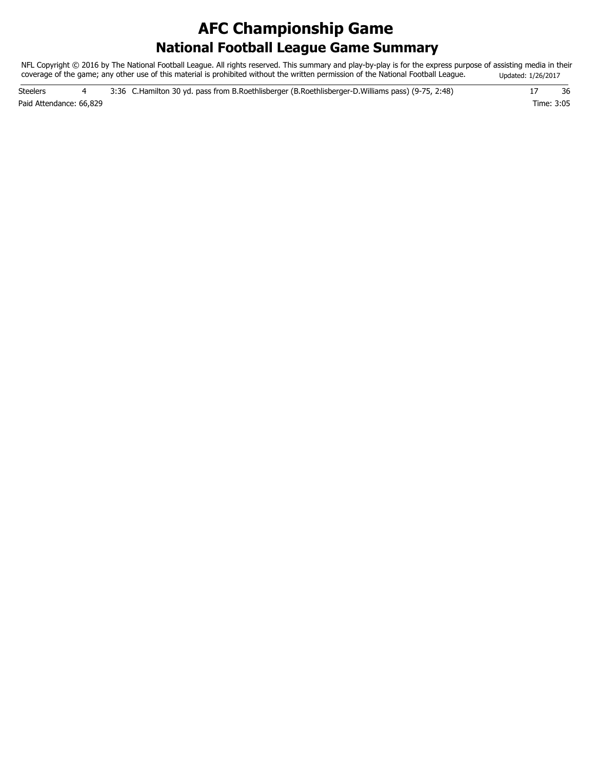# **National Football League Game Summary AFC Championship Game**

NFL Copyright © 2016 by The National Football League. All rights reserved. This summary and play-by-play is for the express purpose of assisting media in their coverage of the game; any other use of this material is prohibited without the written permission of the National Football League. Updated: 1/26/2017

Paid Attendance: 66,829 Time: 3:05 Steelers 4 3:36 C.Hamilton 30 yd. pass from B.Roethlisberger (B.Roethlisberger-D.Williams pass) (9-75, 2:48) 17 36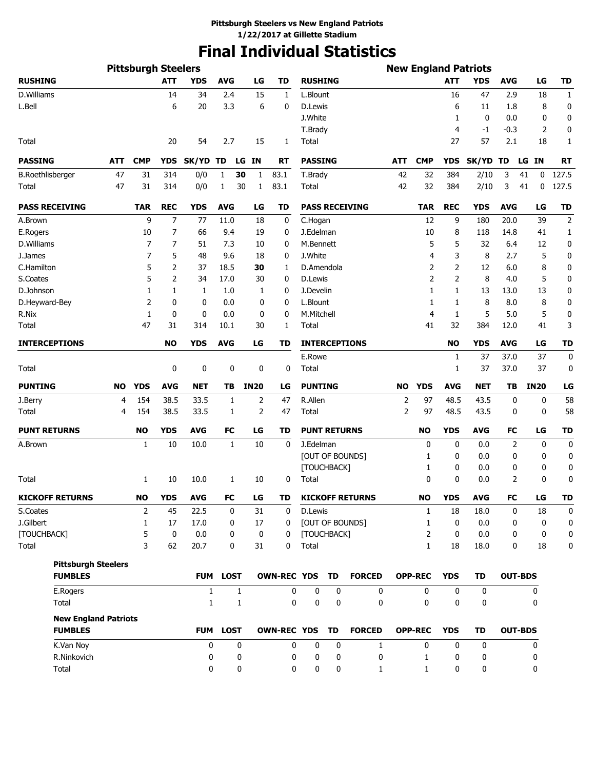# **Final Individual Statistics**

|                             |            | <b>Pittsburgh Steelers</b> |                   |              |                    |             |                    |                      |             |                        |                |                   |              | <b>New England Patriots</b> |                |                |              |
|-----------------------------|------------|----------------------------|-------------------|--------------|--------------------|-------------|--------------------|----------------------|-------------|------------------------|----------------|-------------------|--------------|-----------------------------|----------------|----------------|--------------|
| <b>RUSHING</b>              |            |                            | <b>ATT</b>        | <b>YDS</b>   | <b>AVG</b>         | LG          | TD                 | <b>RUSHING</b>       |             |                        |                |                   | <b>ATT</b>   | <b>YDS</b>                  | <b>AVG</b>     | LG             | <b>TD</b>    |
| D.Williams                  |            |                            | 14                | 34           | 2.4                | 15          | 1                  | L.Blount             |             |                        |                |                   | 16           | 47                          | 2.9            | 18             | $\mathbf{1}$ |
| L.Bell                      |            |                            | 6                 | 20           | 3.3                | 6           | 0                  | D.Lewis              |             |                        |                |                   | 6            | 11                          | 1.8            | 8              | 0            |
|                             |            |                            |                   |              |                    |             |                    | J.White              |             |                        |                |                   | 1            | $\mathbf 0$                 | 0.0            | 0              | 0            |
|                             |            |                            |                   |              |                    |             |                    | T.Brady              |             |                        |                |                   | 4            | -1                          | -0.3           | 2              | 0            |
| Total                       |            |                            | 20                | 54           | 2.7                | 15          | 1                  | Total                |             |                        |                |                   | 27           | 57                          | 2.1            | 18             | 1            |
| <b>PASSING</b>              | <b>ATT</b> | <b>CMP</b>                 | <b>YDS</b>        | SK/YD        | TD                 | LG IN       | RT                 | <b>PASSING</b>       |             |                        | ATT            | <b>CMP</b>        | <b>YDS</b>   | SK/YD TD                    |                | LG IN          | <b>RT</b>    |
| <b>B.Roethlisberger</b>     | 47         | 31                         | 314               | 0/0          | $\mathbf{1}$<br>30 | 1           | 83.1               | T.Brady              |             |                        | 42             | 32                | 384          | 2/10                        | 3              | 41<br>0        | 127.5        |
| Total                       | 47         | 31                         | 314               | 0/0          | 30<br>1            | 1           | 83.1               | Total                |             |                        | 42             | 32                | 384          | 2/10                        | 3              | 41<br>0        | 127.5        |
| <b>PASS RECEIVING</b>       |            | <b>TAR</b>                 | <b>REC</b>        | <b>YDS</b>   | <b>AVG</b>         | LG          | TD                 |                      |             | <b>PASS RECEIVING</b>  |                | <b>TAR</b>        | <b>REC</b>   | <b>YDS</b>                  | <b>AVG</b>     | LG             | <b>TD</b>    |
| A.Brown                     |            | 9                          | 7                 | 77           | 11.0               | 18          | 0                  | C.Hogan              |             |                        |                | 12                | 9            | 180                         | 20.0           | 39             | $\mathbf 2$  |
| E.Rogers                    |            | 10                         | 7                 | 66           | 9.4                | 19          | 0                  | J.Edelman            |             |                        |                | 10                | 8            | 118                         | 14.8           | 41             | 1            |
| D.Williams                  |            | 7                          | 7                 | 51           | 7.3                | 10          | 0                  | M.Bennett            |             |                        |                | 5                 | 5            | 32                          | 6.4            | 12             | 0            |
| J.James                     |            | 7                          | 5                 | 48           | 9.6                | 18          | 0                  | J.White              |             |                        |                | 4                 | 3            | 8                           | 2.7            | 5              | 0            |
| C.Hamilton                  |            | 5                          | 2                 | 37           | 18.5               | 30          | 1                  | D.Amendola           |             |                        |                | 2                 | 2            | 12                          | 6.0            | 8              | 0            |
| S.Coates                    |            | 5                          | 2                 | 34           | 17.0               | 30          | 0                  | D.Lewis              |             |                        |                | 2                 | 2            | 8                           | 4.0            | 5              | 0            |
| D.Johnson                   |            | 1                          | 1                 | 1            | 1.0                | 1           | 0                  | J.Develin            |             |                        |                | 1                 | $\mathbf{1}$ | 13                          | 13.0           | 13             | 0            |
| D.Heyward-Bey               |            | 2                          | 0                 | 0            | 0.0                | 0           | 0                  | L.Blount             |             |                        |                | 1                 | 1            | 8                           | 8.0            | 8              | 0            |
| R.Nix                       |            | 1                          | 0                 | 0            | 0.0                | 0           | 0                  | M.Mitchell           |             |                        |                | 4                 | 1            | 5                           | 5.0            | 5              | 0            |
| Total                       |            | 47                         | 31                | 314          | 10.1               | 30          | 1                  | Total                |             |                        |                | 41                | 32           | 384                         | 12.0           | 41             | 3            |
| <b>INTERCEPTIONS</b>        |            |                            | <b>NO</b>         | <b>YDS</b>   | <b>AVG</b>         | LG          | TD                 |                      |             | <b>INTERCEPTIONS</b>   |                |                   | <b>NO</b>    | <b>YDS</b>                  | <b>AVG</b>     | LG             | <b>TD</b>    |
|                             |            |                            |                   |              |                    |             |                    | E.Rowe               |             |                        |                |                   | 1            | 37                          | 37.0           | 37             | 0            |
| Total                       |            |                            | 0                 | 0            | 0                  | 0           | 0                  | Total                |             |                        |                |                   | 1            | 37                          | 37.0           | 37             | 0            |
| <b>PUNTING</b>              | <b>NO</b>  | <b>YDS</b>                 | <b>AVG</b>        | <b>NET</b>   | TB                 | <b>IN20</b> | LG                 | <b>PUNTING</b>       |             |                        | <b>NO</b>      | <b>YDS</b>        | <b>AVG</b>   | NET                         | TВ             | <b>IN20</b>    | LG           |
| J.Berry                     | 4          | 154                        | 38.5              | 33.5         | 1                  | 2           | 47                 | R.Allen              |             |                        | 2              | 97                | 48.5         | 43.5                        | 0              | 0              | 58           |
| Total                       | 4          | 154                        | 38.5              | 33.5         | 1                  | 2           | 47                 | <b>Total</b>         |             |                        | $\overline{2}$ | 97                | 48.5         | 43.5                        | 0              | 0              | 58           |
| <b>PUNT RETURNS</b>         |            | NO                         | <b>YDS</b>        | <b>AVG</b>   | FC                 | LG          | TD                 | <b>PUNT RETURNS</b>  |             |                        |                | <b>NO</b>         | <b>YDS</b>   | <b>AVG</b>                  | FC             | LG             | <b>TD</b>    |
| A.Brown                     |            | 1                          | 10                | 10.0         | 1                  | 10          | $\mathbf 0$        | J.Edelman            |             |                        |                | 0                 | 0            | 0.0                         | 2              | 0              | 0            |
|                             |            |                            |                   |              |                    |             |                    |                      |             | [OUT OF BOUNDS]        |                | 1                 | 0            | 0.0                         | 0              | 0              | 0            |
|                             |            |                            |                   |              |                    |             |                    | [TOUCHBACK]          |             |                        |                | 1                 | 0            | 0.0                         | 0              | 0              | 0            |
| Total                       |            | 1                          | 10                | 10.0         | 1                  | 10          | 0                  | Total                |             |                        |                | $\mathbf 0$       | 0            | 0.0                         | 2              | 0              | 0            |
| <b>KICKOFF RETURNS</b>      |            | <b>NO</b>                  | <b>YDS</b>        | <b>AVG</b>   | FC                 | LG          | TD                 |                      |             | <b>KICKOFF RETURNS</b> |                | <b>NO</b>         | <b>YDS</b>   | <b>AVG</b>                  | FC             | LG             | TD           |
| S.Coates                    |            | 2                          | 45                | 22.5         | 0                  | 31          | 0                  | D.Lewis              |             |                        |                | $\mathbf{1}$      | 18           | 18.0                        | 0              | 18             | 0            |
| J.Gilbert                   |            | $\mathbf{1}$               | 17                | 17.0         | 0                  | 17          | 0                  |                      |             | [OUT OF BOUNDS]        |                | $\mathbf{1}$      | $\mathbf{0}$ | 0.0                         | 0              | 0              | 0            |
| [TOUCHBACK]<br>Total        |            | 5<br>3                     | $\mathbf 0$<br>62 | 0.0<br>20.7  | 0<br>0             | 0<br>31     | 0<br>$\mathbf 0$   | [TOUCHBACK]<br>Total |             |                        |                | 2<br>$\mathbf{1}$ | 0<br>18      | 0.0<br>18.0                 | 0<br>0         | 0<br>18        | 0<br>0       |
| <b>Pittsburgh Steelers</b>  |            |                            |                   |              |                    |             |                    |                      |             |                        |                |                   |              |                             |                |                |              |
| <b>FUMBLES</b>              |            |                            |                   |              | FUM LOST           |             | <b>OWN-REC YDS</b> |                      | TD          | <b>FORCED</b>          |                | <b>OPP-REC</b>    | <b>YDS</b>   | TD                          |                | <b>OUT-BDS</b> |              |
| E.Rogers                    |            |                            |                   | $\mathbf{1}$ | $\mathbf{1}$       |             | 0                  | $\mathbf 0$          | 0           | $\mathbf 0$            |                | $\mathbf 0$       | 0            | 0                           |                | 0              |              |
| Total                       |            |                            |                   | $\mathbf{1}$ | $\mathbf{1}$       |             | 0                  | $\mathbf 0$          | $\mathbf 0$ | $\mathbf{0}$           |                | $\mathbf{0}$      | 0            | 0                           |                | 0              |              |
| <b>New England Patriots</b> |            |                            |                   |              |                    |             |                    |                      |             |                        |                |                   |              |                             |                |                |              |
| <b>FUMBLES</b>              |            |                            |                   | <b>FUM</b>   | <b>LOST</b>        |             | <b>OWN-REC YDS</b> |                      | TD          | <b>FORCED</b>          |                | <b>OPP-REC</b>    | <b>YDS</b>   | <b>TD</b>                   | <b>OUT-BDS</b> |                |              |
| K.Van Noy                   |            |                            |                   | 0            | 0                  |             | 0                  | 0                    | 0           | 1                      |                | 0                 | 0            | 0                           |                | 0              |              |
| R.Ninkovich                 |            |                            |                   | 0            | 0                  |             | 0                  | 0                    | 0           | 0                      |                | 1                 | 0            | 0                           |                | 0              |              |
| Total                       |            |                            |                   | 0            | 0                  |             | 0                  | $\mathbf 0$          | 0           | 1                      |                | $\mathbf{1}$      | 0            | 0                           |                | 0              |              |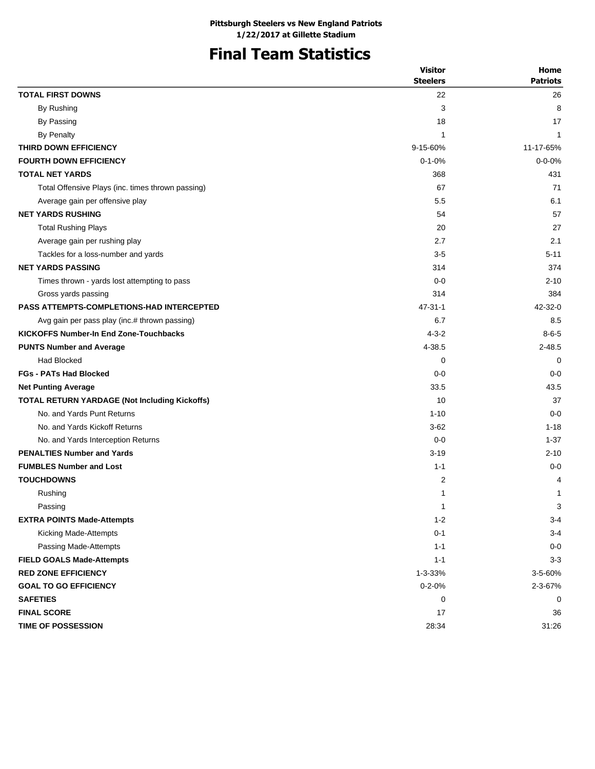# **Final Team Statistics**

|                                                      | <b>Visitor</b>  | Home            |
|------------------------------------------------------|-----------------|-----------------|
|                                                      | <b>Steelers</b> | <b>Patriots</b> |
| <b>TOTAL FIRST DOWNS</b>                             | 22              | 26              |
| By Rushing                                           | 3               | 8               |
| By Passing                                           | 18              | 17              |
| By Penalty                                           | 1               | $\mathbf{1}$    |
| THIRD DOWN EFFICIENCY                                | 9-15-60%        | 11-17-65%       |
| <b>FOURTH DOWN EFFICIENCY</b>                        | $0 - 1 - 0%$    | $0 - 0 - 0%$    |
| <b>TOTAL NET YARDS</b>                               | 368             | 431             |
| Total Offensive Plays (inc. times thrown passing)    | 67              | 71              |
| Average gain per offensive play                      | 5.5             | 6.1             |
| <b>NET YARDS RUSHING</b>                             | 54              | 57              |
| <b>Total Rushing Plays</b>                           | 20              | 27              |
| Average gain per rushing play                        | 2.7             | 2.1             |
| Tackles for a loss-number and yards                  | $3-5$           | $5 - 11$        |
| <b>NET YARDS PASSING</b>                             | 314             | 374             |
| Times thrown - yards lost attempting to pass         | $0 - 0$         | $2 - 10$        |
| Gross yards passing                                  | 314             | 384             |
| <b>PASS ATTEMPTS-COMPLETIONS-HAD INTERCEPTED</b>     | $47 - 31 - 1$   | $42 - 32 - 0$   |
| Avg gain per pass play (inc.# thrown passing)        | 6.7             | 8.5             |
| <b>KICKOFFS Number-In End Zone-Touchbacks</b>        | $4 - 3 - 2$     | $8 - 6 - 5$     |
| <b>PUNTS Number and Average</b>                      | 4-38.5          | $2 - 48.5$      |
| Had Blocked                                          | 0               | 0               |
| <b>FGs - PATs Had Blocked</b>                        | $0 - 0$         | $0 - 0$         |
| <b>Net Punting Average</b>                           | 33.5            | 43.5            |
| <b>TOTAL RETURN YARDAGE (Not Including Kickoffs)</b> | 10              | 37              |
| No. and Yards Punt Returns                           | $1 - 10$        | $0 - 0$         |
| No. and Yards Kickoff Returns                        | $3 - 62$        | $1 - 18$        |
| No. and Yards Interception Returns                   | $0 - 0$         | $1 - 37$        |
| <b>PENALTIES Number and Yards</b>                    | $3 - 19$        | $2 - 10$        |
| <b>FUMBLES Number and Lost</b>                       | $1 - 1$         | $0 - 0$         |
| <b>TOUCHDOWNS</b>                                    | 2               | 4               |
| Rushing                                              | 1               | 1               |
| Passing                                              | 1               | 3               |
| <b>EXTRA POINTS Made-Attempts</b>                    | $1 - 2$         | $3 - 4$         |
| Kicking Made-Attempts                                | $0 - 1$         | $3 - 4$         |
| Passing Made-Attempts                                | $1 - 1$         | $0 - 0$         |
| <b>FIELD GOALS Made-Attempts</b>                     | $1 - 1$         | $3 - 3$         |
| <b>RED ZONE EFFICIENCY</b>                           | 1-3-33%         | 3-5-60%         |
| <b>GOAL TO GO EFFICIENCY</b>                         | $0 - 2 - 0%$    | $2 - 3 - 67%$   |
| <b>SAFETIES</b>                                      | 0               | 0               |
| <b>FINAL SCORE</b>                                   | 17              | 36              |
| <b>TIME OF POSSESSION</b>                            | 28:34           | 31:26           |
|                                                      |                 |                 |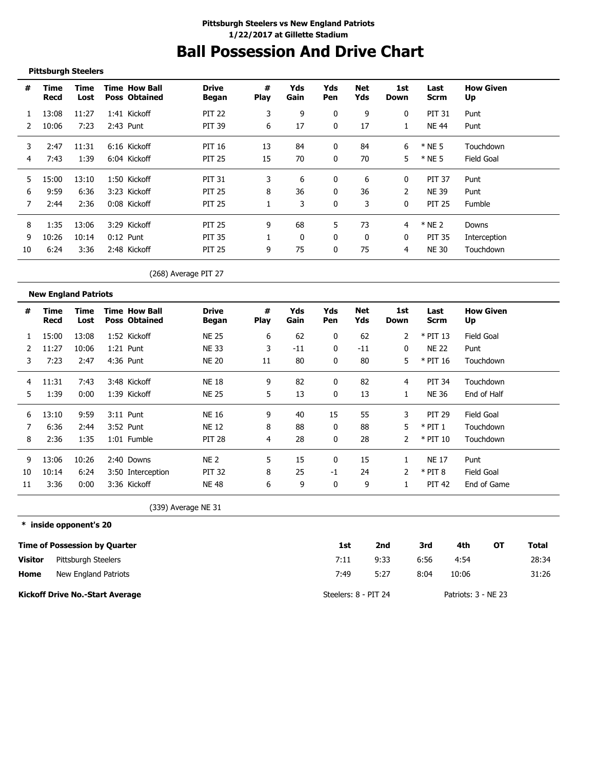# **Ball Possession And Drive Chart**

#### **Pittsburgh Steelers**

| #  | Time<br>Recd | Time<br>Lost | <b>Time How Ball</b><br><b>Poss Obtained</b> | <b>Drive</b><br>Began | #<br><b>Play</b> | Yds<br>Gain | Yds<br><b>Pen</b> | Net<br>Yds   | 1st<br>Down  | Last<br>Scrm  | <b>How Given</b><br>Up |
|----|--------------|--------------|----------------------------------------------|-----------------------|------------------|-------------|-------------------|--------------|--------------|---------------|------------------------|
|    | 13:08        | 11:27        | 1:41 Kickoff                                 | <b>PIT 22</b>         | 3                | 9           | 0                 | 9            | $\mathbf{0}$ | <b>PIT 31</b> | Punt                   |
|    | 10:06        | 7:23         | 2:43 Punt                                    | <b>PIT 39</b>         | 6                | 17          | 0                 | 17           |              | <b>NE 44</b>  | Punt                   |
| 3  | 2:47         | 11:31        | 6:16 Kickoff                                 | PIT 16                | 13               | 84          | 0                 | 84           | 6            | $*$ NE 5      | Touchdown              |
| 4  | 7:43         | 1:39         | 6:04 Kickoff                                 | <b>PIT 25</b>         | 15               | 70          | 0                 | 70           | 5            | $*$ NE 5      | <b>Field Goal</b>      |
| 5  | 15:00        | 13:10        | 1:50 Kickoff                                 | <b>PIT 31</b>         | 3                | 6           | 0                 | 6            | 0            | <b>PIT 37</b> | Punt                   |
| 6  | 9:59         | 6:36         | 3:23 Kickoff                                 | <b>PIT 25</b>         | 8                | 36          | 0                 | 36           | 2            | <b>NE 39</b>  | Punt                   |
|    | 2:44         | 2:36         | 0:08 Kickoff                                 | <b>PIT 25</b>         |                  | 3           | 0                 | 3            | $\mathbf{0}$ | <b>PIT 25</b> | <b>Fumble</b>          |
| 8  | 1:35         | 13:06        | 3:29 Kickoff                                 | <b>PIT 25</b>         | 9                | 68          | 5.                | 73           | 4            | $*$ NE 2      | Downs                  |
| 9  | 10:26        | 10:14        | $0:12$ Punt                                  | <b>PIT 35</b>         |                  | $\Omega$    | 0                 | $\mathbf{0}$ | $\mathbf{0}$ | <b>PIT 35</b> | Interception           |
| 10 | 6:24         | 3:36         | 2:48 Kickoff                                 | <b>PIT 25</b>         | 9                | 75          | 0                 | 75           | 4            | <b>NE 30</b>  | Touchdown              |

### (268) Average PIT 27

|    | <b>New England Patriots</b> |              |                                              |                       |                  |             |              |            |             |                     |                        |
|----|-----------------------------|--------------|----------------------------------------------|-----------------------|------------------|-------------|--------------|------------|-------------|---------------------|------------------------|
| #  | Time<br>Recd                | Time<br>Lost | <b>Time How Ball</b><br><b>Poss Obtained</b> | <b>Drive</b><br>Began | #<br><b>Play</b> | Yds<br>Gain | Yds<br>Pen   | Net<br>Yds | 1st<br>Down | Last<br><b>Scrm</b> | <b>How Given</b><br>Up |
|    | 15:00                       | 13:08        | 1:52 Kickoff                                 | <b>NE 25</b>          | 6                | 62          | $\mathbf{0}$ | 62         |             | $*$ PIT 13          | Field Goal             |
|    | 11:27                       | 10:06        | $1:21$ Punt                                  | <b>NE33</b>           | 3                | $-11$       | 0            | $-11$      | 0           | <b>NE 22</b>        | Punt                   |
| 3  | 7:23                        | 2:47         | 4:36 Punt                                    | <b>NE 20</b>          | 11               | 80          | $\Omega$     | 80         | 5           | $*$ PIT 16          | Touchdown              |
| 4  | 11:31                       | 7:43         | 3:48 Kickoff                                 | <b>NE 18</b>          | 9                | 82          | 0            | 82         | 4           | <b>PIT 34</b>       | Touchdown              |
| 5  | 1:39                        | 0:00         | 1:39 Kickoff                                 | <b>NE 25</b>          | 5                | 13          | $\mathbf{0}$ | 13         |             | <b>NE 36</b>        | End of Half            |
| 6  | 13:10                       | 9:59         | $3:11$ Punt                                  | <b>NE 16</b>          | 9                | 40          | 15           | 55         | 3           | <b>PIT 29</b>       | Field Goal             |
|    | 6:36                        | 2:44         | 3:52 Punt                                    | <b>NE 12</b>          | 8                | 88          | $\Omega$     | 88         | 5           | $*$ PIT 1           | Touchdown              |
| 8  | 2:36                        | 1:35         | $1:01$ Fumble                                | <b>PIT 28</b>         | 4                | 28          | 0            | 28         |             | $*$ PIT 10          | Touchdown              |
| 9  | 13:06                       | 10:26        | 2:40 Downs                                   | <b>NE 2</b>           | 5                | 15          | 0            | 15         |             | <b>NE 17</b>        | Punt                   |
| 10 | 10:14                       | 6:24         | 3:50 Interception                            | <b>PIT 32</b>         | 8                | 25          | $-1$         | 24         | 2           | $*$ PIT 8           | <b>Field Goal</b>      |
| 11 | 3:36                        | 0:00         | 3:36 Kickoff                                 | <b>NE 48</b>          | 6                | 9           | 0            | 9          |             | <b>PIT 42</b>       | End of Game            |

(339) Average NE 31

#### **\* inside opponent's 20**

|                | <b>Time of Possession by Quarter</b>   | 1st                  | 2nd  | 3rd  | 4th                 | ΟТ | <b>Total</b> |
|----------------|----------------------------------------|----------------------|------|------|---------------------|----|--------------|
| <b>Visitor</b> | Pittsburgh Steelers                    | 7:11                 | 9:33 | 6:56 | 4:54                |    | 28:34        |
| Home           | New England Patriots                   | 7:49                 | 5:27 | 8:04 | 10:06               |    | 31:26        |
|                | <b>Kickoff Drive No.-Start Average</b> | Steelers: 8 - PIT 24 |      |      | Patriots: 3 - NE 23 |    |              |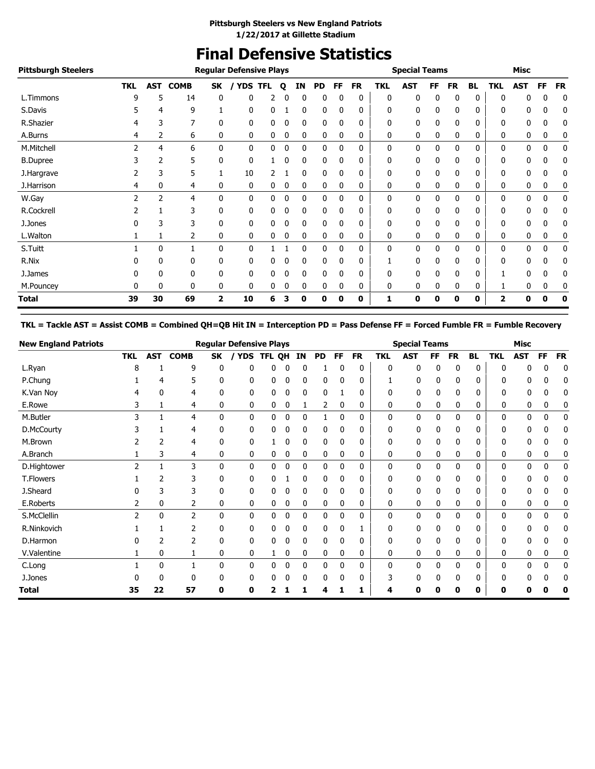# **Final Defensive Statistics**

| <b>Pittsburgh Steelers</b> |                |            |             |              | <b>Regular Defensive Plays</b> |            |   |              |           |              |           |            | <b>Special Teams</b> |              |           |              |            | <b>Misc</b>  |           |           |
|----------------------------|----------------|------------|-------------|--------------|--------------------------------|------------|---|--------------|-----------|--------------|-----------|------------|----------------------|--------------|-----------|--------------|------------|--------------|-----------|-----------|
|                            | <b>TKL</b>     | <b>AST</b> | <b>COMB</b> | SK           | <b>YDS</b>                     | <b>TFL</b> | Q | ΙN           | <b>PD</b> | FF           | <b>FR</b> | <b>TKL</b> | <b>AST</b>           | FF           | <b>FR</b> | <b>BL</b>    | <b>TKL</b> | <b>AST</b>   | <b>FF</b> | <b>FR</b> |
| L.Timmons                  | 9              | 5          | 14          | 0            | 0                              |            |   | 0            | 0         | $\mathbf{0}$ | 0         | 0          | 0                    | 0            | 0         | 0            | 0          | 0            | 0         | 0         |
| S.Davis                    |                | 4          | 9           |              | 0                              | 0          |   | 0            | 0         | 0            | 0         | 0          | 0                    | 0            | 0         | 0            | 0          | 0            | 0         | 0         |
| R.Shazier                  |                | 3          |             | 0            | 0                              | 0          | 0 | 0            | 0         | $\mathbf{0}$ | 0         | 0          | 0                    | 0            | 0         | 0            | 0          | 0            | 0         | 0         |
| A.Burns                    | 4              | 2          | 6           | 0            | 0                              | 0          | 0 | 0            | 0         | 0            | 0         | 0          | 0                    | 0            | 0         | 0            | 0          | 0            | 0         | 0         |
| M.Mitchell                 | $\overline{2}$ | 4          | 6           | $\mathbf{0}$ | 0                              | 0          | 0 | 0            | 0         | $\mathbf{0}$ | 0         | 0          | 0                    | 0            | 0         | $\mathbf{0}$ | 0          | 0            | 0         | 0         |
| <b>B.Dupree</b>            |                | 2          | 5           | 0            | 0                              |            |   | 0            | 0         |              | 0         | 0          | 0                    | 0            | 0         | 0            | 0          | 0            | 0         | 0         |
| J.Hargrave                 |                |            | 5           |              | 10                             |            |   | 0            | 0         |              | 0         | 0          | 0                    |              | 0         | 0            | 0          | 0            | 0         | 0         |
| J.Harrison                 | 4              | 0          | 4           | 0            | 0                              | 0          | 0 | 0            | 0         | 0            | 0         | 0          | 0                    | 0            | 0         | 0            | 0          | 0            | 0         | 0         |
| W.Gay                      | 2              | 2          | 4           | $\mathbf{0}$ | 0                              | 0          | 0 | 0            | 0         | 0            | 0         | 0          | 0                    | 0            | 0         | 0            | 0          | $\mathbf{0}$ | 0         | 0         |
| R.Cockrell                 |                |            | 3           | 0            | 0                              | 0          | 0 | $\mathbf{0}$ | 0         | $\Omega$     | 0         | 0          | 0                    | $\mathbf{0}$ | 0         | 0            | 0          | $\mathbf{0}$ | 0         | 0         |
| J.Jones                    | 0              | 3          | 3           | 0            | 0                              | 0          | 0 | 0            | 0         | 0            | 0         | 0          | 0                    | 0            | 0         | 0            | 0          | 0            | 0         | 0         |
| L.Walton                   |                |            | 2           | 0            | 0                              | 0          | 0 | 0            | 0         | 0            | 0         | 0          | 0                    | 0            | 0         | 0            | 0          | 0            | 0         | 0         |
| S.Tuitt                    |                | 0          |             | 0            | 0                              |            |   | 0            | 0         | 0            | 0         | 0          | 0                    | 0            | 0         | 0            | 0          | 0            | 0         | 0         |
| R.Nix                      |                | 0          | 0           | 0            | 0                              | 0          | 0 | 0            | 0         | 0            | 0         |            | 0                    | 0            | 0         | 0            | 0          | 0            | 0         | 0         |
| J.James                    |                | 0          | 0           | 0            | 0                              | 0          | 0 | 0            | 0         |              | 0         | 0          | 0                    | 0            | 0         | 0            |            | 0            | 0         | 0         |
| M.Pouncey                  | 0              | 0          | 0           | 0            | 0                              | 0          |   | 0            | 0         | 0            | 0         | 0          | 0                    |              | 0         | 0            |            | 0            | 0         | 0         |
| Total                      | 39             | 30         | 69          | 2            | 10                             | 6          |   | 0            | 0         | 0            | 0         | 1          | 0                    | 0            | 0         | 0            | 2          | 0            | ŋ         | 0         |

**TKL = Tackle AST = Assist COMB = Combined QH=QB Hit IN = Interception PD = Pass Defense FF = Forced Fumble FR = Fumble Recovery**

| <b>New England Patriots</b> |                |              |                |              | <b>Regular Defensive Plays</b> |              |              |    |              |           |              |            | <b>Special Teams</b> |    |              |              |              | <b>Misc</b> |              |           |
|-----------------------------|----------------|--------------|----------------|--------------|--------------------------------|--------------|--------------|----|--------------|-----------|--------------|------------|----------------------|----|--------------|--------------|--------------|-------------|--------------|-----------|
|                             | <b>TKL</b>     | <b>AST</b>   | <b>COMB</b>    | SK           | <b>YDS</b>                     | TFL QH       |              | IN | PD           | <b>FF</b> | <b>FR</b>    | <b>TKL</b> | <b>AST</b>           | FF | <b>FR</b>    | <b>BL</b>    | TKL          | <b>AST</b>  | <b>FF</b>    | <b>FR</b> |
| L.Ryan                      | 8              |              | 9              | 0            | ŋ                              | 0            |              | 0  |              |           | 0            | 0          | 0                    | 0  | 0            | 0            | $\Omega$     | 0           | 0            | 0         |
| P.Chung                     |                | 4            | 5              | 0            | 0                              | 0            | 0            | 0  | 0            | 0         | 0            |            | 0                    | 0  | 0            | 0            | 0            | 0           | 0            |           |
| K.Van Noy                   | 4              | 0            | 4              | 0            | 0                              | 0            | 0            | 0  | 0            |           | 0            | 0          | 0                    | 0  | 0            | 0            | 0            | 0           | 0            |           |
| E.Rowe                      | 3              |              | 4              | 0            | 0                              | 0            | 0            |    | 2            | 0         | 0            | 0          | 0                    | 0  | 0            | 0            | 0            | 0           | 0            |           |
| M.Butler                    | 3              |              | $\overline{4}$ | $\mathbf{0}$ | 0                              | 0            | 0            | 0  |              | 0         | 0            | 0          | 0                    | 0  | $\mathbf{0}$ | 0            | $\mathbf{0}$ | 0           | $\mathbf{0}$ | 0         |
| D.McCourty                  |                |              | 4              | 0            | 0                              | 0            | 0            | 0  | 0            | 0         | 0            | 0          | 0                    | 0  | 0            | 0            | 0            | 0           | 0            |           |
| M.Brown                     |                |              | 4              | 0            | 0                              |              | 0            | 0  | 0            | 0         | 0            | 0          | 0                    | 0  | 0            | 0            | 0            | 0           | 0            |           |
| A.Branch                    |                | 3            | 4              | 0            | 0                              | 0            | 0            | 0  | 0            | 0         | 0            | 0          | 0                    | 0  | 0            | 0            | 0            | 0           | 0            |           |
| D.Hightower                 | $\overline{2}$ |              | 3              | $\mathbf{0}$ | 0                              | $\mathbf{0}$ | $\mathbf 0$  | 0  | $\mathbf{0}$ | 0         | 0            | 0          | 0                    | 0  | $\mathbf{0}$ | 0            | $\mathbf{0}$ | 0           | $\mathbf{0}$ |           |
| <b>T.Flowers</b>            |                |              | 3              | 0            | 0                              | 0            |              | 0  | 0            | 0         | 0            | 0          | 0                    | 0  | 0            | 0            | 0            | 0           | 0            |           |
| J.Sheard                    |                |              | 3              | 0            | 0                              | 0            | 0            | 0  | 0            | 0         | 0            | 0          | 0                    | 0  | 0            | 0            | 0            | 0           | 0            |           |
| E.Roberts                   | 2              | 0            | 2              | 0            | 0                              | 0            | 0            | 0  | 0            | 0         | 0            | 0          | 0                    | 0  | 0            | 0            | 0            | 0           | 0            |           |
| S.McClellin                 | $\mathcal{P}$  | $\mathbf{0}$ | $\overline{2}$ | $\mathbf{0}$ | 0                              | 0            | $\mathbf{0}$ | 0  | 0            | $\Omega$  | $\mathbf{0}$ | 0          | 0                    | 0  | $\mathbf{0}$ | 0            | $\mathbf{0}$ | 0           | $\mathbf{0}$ | 0         |
| R.Ninkovich                 |                |              | $\overline{2}$ | 0            | 0                              | 0            | 0            | 0  | 0            | $\Omega$  |              | 0          | 0                    | 0  | $\mathbf{0}$ | $\mathbf{0}$ | 0            | 0           | Λ            |           |
| D.Harmon                    |                |              | 2              | 0            | 0                              | 0            | Λ            | 0  | 0            |           | 0            | 0          | 0                    | 0  | 0            | 0            | 0            | 0           | 0            |           |
| V.Valentine                 |                | 0            |                | 0            | 0                              |              | 0            | 0  | 0            | 0         | 0            | 0          | 0                    | 0  | 0            | 0            | 0            | 0           | 0            |           |
| C.Long                      |                | $\Omega$     |                | $\mathbf{0}$ | 0                              | 0            | 0            | 0  | 0            | 0         | 0            | 0          | $\mathbf{0}$         | 0  | 0            | 0            | 0            | 0           | 0            |           |
| J.Jones                     |                | n            | $\Omega$       | 0            | 0                              | 0            |              | 0  | 0            |           | 0            | 3          | 0                    |    | 0            | 0            | 0            | 0           | በ            |           |
| <b>Total</b>                | 35             | 22           | 57             | 0            | 0                              |              |              |    |              |           |              |            | ŋ                    | n  | 0            | 0            | 0            |             |              | 0         |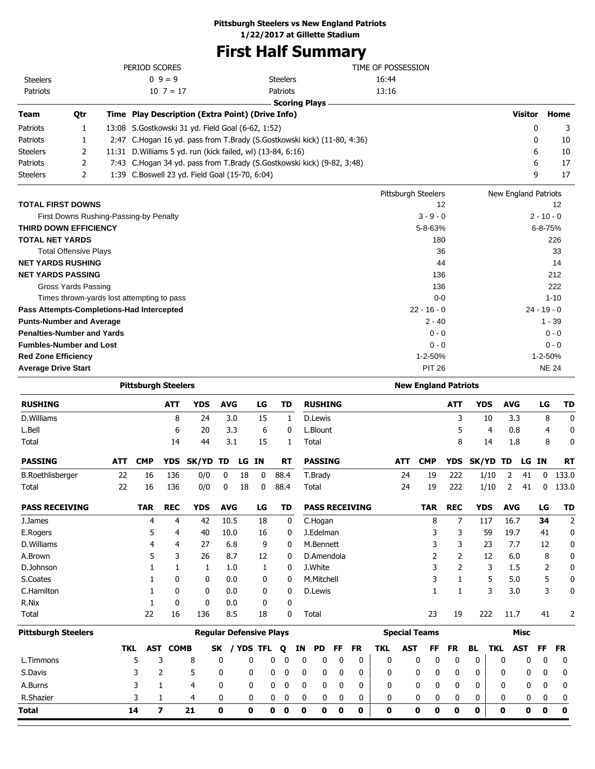## **Pittsburgh Steelers vs New England Patriots**

**1/22/2017 at Gillette Stadium**

# **First Half Summary**

| <b>RUSHING</b>                                         |                              | <b>YDS</b><br><b>AVG</b><br><b>ATT</b>                      | <b>RUSHING</b><br>LG<br>TD                                              | <b>ATT</b>                  | <b>YDS</b><br><b>AVG</b> | LG<br>TD       |
|--------------------------------------------------------|------------------------------|-------------------------------------------------------------|-------------------------------------------------------------------------|-----------------------------|--------------------------|----------------|
|                                                        |                              | <b>Pittsburgh Steelers</b>                                  |                                                                         | <b>New England Patriots</b> |                          |                |
| <b>Average Drive Start</b>                             |                              |                                                             |                                                                         | <b>PIT 26</b>               |                          | <b>NE 24</b>   |
| <b>Red Zone Efficiency</b>                             |                              |                                                             |                                                                         | 1-2-50%                     |                          | $1 - 2 - 50%$  |
| <b>Fumbles-Number and Lost</b>                         |                              |                                                             |                                                                         | $0 - 0$                     |                          | $0 - 0$        |
| <b>Penalties-Number and Yards</b>                      |                              |                                                             |                                                                         | $0 - 0$                     |                          | $0 - 0$        |
| <b>Punts-Number and Average</b>                        |                              |                                                             |                                                                         | $2 - 40$                    |                          | $1 - 39$       |
|                                                        |                              | Pass Attempts-Completions-Had Intercepted                   |                                                                         | $22 - 16 - 0$               |                          | $24 - 19 - 0$  |
|                                                        |                              | Times thrown-yards lost attempting to pass                  |                                                                         | $0 - 0$                     |                          | $1 - 10$       |
|                                                        | Gross Yards Passing          |                                                             |                                                                         | 136                         |                          | 222            |
| <b>NET YARDS PASSING</b>                               |                              |                                                             |                                                                         | 136                         |                          | 212            |
| <b>NET YARDS RUSHING</b>                               |                              |                                                             |                                                                         | 44                          |                          | 14             |
|                                                        | <b>Total Offensive Plays</b> |                                                             |                                                                         | 36                          |                          | 33             |
| <b>THIRD DOWN EFFICIENCY</b><br><b>TOTAL NET YARDS</b> |                              |                                                             |                                                                         | 5-8-63%<br>180              |                          | 6-8-75%<br>226 |
|                                                        |                              | First Downs Rushing-Passing-by Penalty                      |                                                                         | $3 - 9 - 0$                 |                          | $2 - 10 - 0$   |
| <b>TOTAL FIRST DOWNS</b>                               |                              |                                                             |                                                                         | 12                          |                          | 12             |
|                                                        |                              |                                                             |                                                                         | Pittsburgh Steelers         | New England Patriots     |                |
| <b>Steelers</b>                                        | 2                            | 1:39 C.Boswell 23 yd. Field Goal (15-70, 6:04)              |                                                                         |                             | 9                        | 17             |
| Patriots                                               | 2                            |                                                             | 7:43 C.Hogan 34 yd. pass from T.Brady (S.Gostkowski kick) (9-82, 3:48)  |                             | 6                        | 17             |
| <b>Steelers</b>                                        | 2                            | 11:31 D. Williams 5 yd. run (kick failed, wl) (13-84, 6:16) |                                                                         |                             | 6                        | 10             |
| Patriots                                               | 1                            |                                                             | 2:47 C.Hogan 16 yd. pass from T.Brady (S.Gostkowski kick) (11-80, 4:36) |                             | $\Omega$                 | 10             |
| Patriots                                               | 1                            | 13:08 S. Gostkowski 31 yd. Field Goal (6-62, 1:52)          |                                                                         |                             | 0                        | 3              |
| <b>Team</b>                                            | Qtr                          | Time Play Description (Extra Point) (Drive Info)            |                                                                         |                             | <b>Visitor</b>           | Home           |
|                                                        |                              |                                                             | <b>Scoring Plays</b>                                                    |                             |                          |                |
| Patriots                                               |                              | $10 \t7 = 17$                                               | Patriots                                                                | 13:16                       |                          |                |
| <b>Steelers</b>                                        |                              | $0.9 = 9$                                                   | <b>Steelers</b>                                                         | 16:44                       |                          |                |
|                                                        |                              | PERIOD SCORES                                               |                                                                         | TIME OF POSSESSION          |                          |                |

| <b>RUSHING</b>             |            |            | <b>ATT</b>   | <b>YDS</b> | <b>AVG</b> |                                | LG           |      | TD        |    | <b>RUSHING</b> |    |                       |            |            |                      | <b>ATT</b> | <b>YDS</b>   |            | <b>AVG</b> |             | LG | TD          |
|----------------------------|------------|------------|--------------|------------|------------|--------------------------------|--------------|------|-----------|----|----------------|----|-----------------------|------------|------------|----------------------|------------|--------------|------------|------------|-------------|----|-------------|
| D.Williams                 |            |            | 8            | 24         |            | 3.0                            | 15           |      | 1         |    | D.Lewis        |    |                       |            |            |                      | 3          |              | 10         | 3.3        |             | 8  | $\mathbf 0$ |
| L.Bell                     |            |            | 6            | 20         |            | 3.3                            | 6            |      | 0         |    | L.Blount       |    |                       |            |            |                      | 5          |              | 4          | 0.8        |             | 4  | 0           |
| Total                      |            |            | 14           | 44         |            | 3.1                            | 15           |      | 1         |    | Total          |    |                       |            |            |                      | 8          |              | 14         | 1.8        |             | 8  | 0           |
| <b>PASSING</b>             | <b>ATT</b> | <b>CMP</b> | <b>YDS</b>   | SK/YD      | TD         | LG IN                          |              |      | <b>RT</b> |    | <b>PASSING</b> |    |                       |            | <b>ATT</b> | <b>CMP</b>           | <b>YDS</b> | <b>SK/YD</b> |            | TD         | LG IN       |    | <b>RT</b>   |
| <b>B.Roethlisberger</b>    | 22         | 16         | 136          | 0/0        | 0          | 18                             | $\mathbf{0}$ | 88.4 |           |    | T.Brady        |    |                       |            | 24         | 19                   | 222        |              | 1/10       | 2          | 41          | 0  | 133.0       |
| Total                      | 22         | 16         | 136          | 0/0        | 0          | 18                             | 0            | 88.4 |           |    | Total          |    |                       |            | 24         | 19                   | 222        |              | 1/10       | 2          | 41          | 0  | 133.0       |
| <b>PASS RECEIVING</b>      |            | <b>TAR</b> | <b>REC</b>   | <b>YDS</b> | <b>AVG</b> |                                | LG           |      | TD        |    |                |    | <b>PASS RECEIVING</b> |            |            | <b>TAR</b>           | <b>REC</b> | <b>YDS</b>   |            | <b>AVG</b> |             | LG | TD          |
| J.James                    |            | 4          | 4            | 42         | 10.5       |                                | 18           |      | 0         |    | C.Hogan        |    |                       |            |            | 8                    | 7          |              | 117        | 16.7       |             | 34 | 2           |
| E.Rogers                   |            | 5          | 4            | 40         | 10.0       |                                | 16           |      | 0         |    | J.Edelman      |    |                       |            |            |                      | 3          |              | 59         | 19.7       |             | 41 | $\mathbf 0$ |
| D.Williams                 |            | 4          | 4            | 27         |            | 6.8                            | 9            |      | 0         |    | M.Bennett      |    |                       |            |            | 3                    | 3          |              | 23         | 7.7        |             | 12 | 0           |
| A.Brown                    |            | 5          | 3            | 26         |            | 8.7                            | 12           |      | 0         |    | D.Amendola     |    |                       |            |            | 2                    | 2          |              | 12         | 6.0        |             | 8  | 0           |
| D.Johnson                  |            |            | 1            | 1          |            | 1.0                            | 1            |      | 0         |    | J.White        |    |                       |            |            | 3                    | 2          |              | 3          | 1.5        |             | 2  | 0           |
| S.Coates                   |            |            | $\mathbf{0}$ | 0          |            | 0.0                            | 0            |      | 0         |    | M.Mitchell     |    |                       |            |            | 3                    |            |              | 5          | 5.0        |             | 5  | 0           |
| C.Hamilton                 |            |            | 0            | 0          |            | 0.0                            | 0            |      | 0         |    | D.Lewis        |    |                       |            |            | 1                    | 1          |              | 3          | 3.0        |             | 3  | 0           |
| R.Nix                      |            |            | $\mathbf{0}$ | 0          |            | 0.0                            | 0            |      | 0         |    |                |    |                       |            |            |                      |            |              |            |            |             |    |             |
| Total                      |            | 22         | 16           | 136        |            | 8.5                            | 18           |      | 0         |    | Total          |    |                       |            |            | 23                   | 19         |              | 222        | 11.7       |             | 41 | 2           |
| <b>Pittsburgh Steelers</b> |            |            |              |            |            | <b>Regular Defensive Plays</b> |              |      |           |    |                |    |                       |            |            | <b>Special Teams</b> |            |              |            |            | <b>Misc</b> |    |             |
|                            | <b>TKL</b> | <b>AST</b> | <b>COMB</b>  |            | SK         | <b>YDS</b>                     | <b>TFL</b>   | Q    |           | ΙN | <b>PD</b>      | FF | <b>FR</b>             | <b>TKL</b> | <b>AST</b> | FF                   | <b>FR</b>  | <b>BL</b>    | <b>TKL</b> |            | <b>AST</b>  | FF | <b>FR</b>   |
| L.Timmons                  |            | 5          | 3            | 8          | 0          | 0                              |              | 0    | 0         | 0  | 0              | 0  | 0                     | 0          |            | 0<br>0               | 0          | 0            |            | 0          | 0           | 0  | 0           |
| S.Davis                    |            |            | 2            | 5          | 0          | 0                              |              | 0    | 0         | 0  | 0              | 0  | 0                     | 0          |            | 0<br>0               | 0          | 0            |            | 0          | 0           | 0  | 0           |
| A.Burns                    |            | 3          |              | 4          | 0          | 0                              |              | 0    | 0         | 0  | 0              | 0  | 0                     | 0          |            | 0<br>0               | 0          | 0            |            | 0          | 0           | 0  | 0           |
| R.Shazier                  |            | 3          |              | 4          | 0          | 0                              |              | 0    | 0         | 0  | 0              | 0  | 0                     | 0          |            | 0<br>0               | 0          | 0            |            | 0          | 0           | 0  | 0           |
| Total                      |            | 14         | 7            | 21         | 0          | 0                              |              | 0    | 0         | 0  | 0              | 0  | 0                     | 0          |            | 0<br>0               | 0          | 0            |            | 0          | 0           | 0  | $\mathbf 0$ |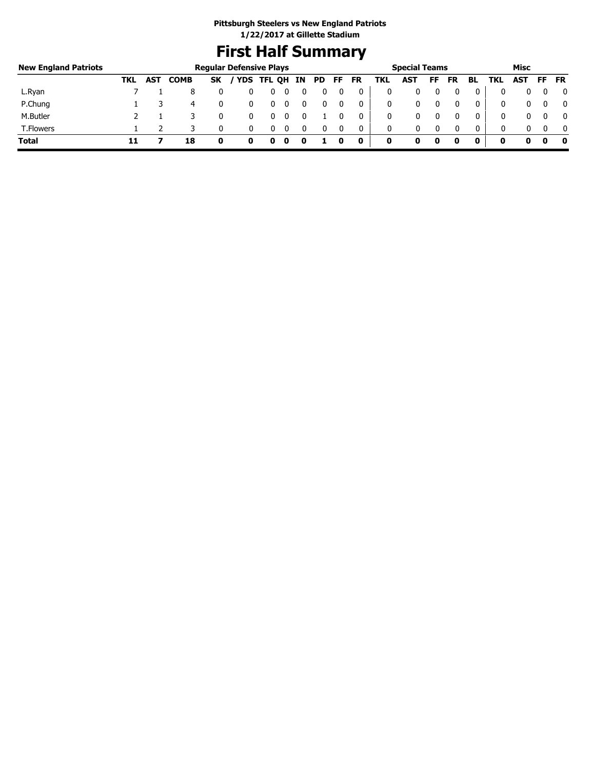# **First Half Summary**

| <b>New England Patriots</b> |     |            |             |           | <b>Regular Defensive Plays</b> |        |    |     |     |    |     | <b>Special Teams</b> |    |           |              |            | Misc       |     |              |
|-----------------------------|-----|------------|-------------|-----------|--------------------------------|--------|----|-----|-----|----|-----|----------------------|----|-----------|--------------|------------|------------|-----|--------------|
|                             | TKL | <b>AST</b> | <b>COMB</b> | <b>SK</b> | / YDS                          | TFL QH | IN | PD. | FF. | FR | TKL | <b>AST</b>           | FF | <b>FR</b> | BL           | TKL        | <b>AST</b> | FF. | <b>FR</b>    |
| L.Ryan                      |     |            |             |           |                                |        |    |     |     |    |     |                      |    |           | 0            |            |            |     | 0            |
| P.Chung                     |     |            | 4           |           |                                |        |    |     |     | 0  |     | 0                    |    |           | 0            | $^{\rm 0}$ |            |     | $\mathbf{0}$ |
| M.Butler                    |     |            |             |           |                                |        |    |     |     | 0  | 0   | 0                    |    |           | 0            | 0          |            |     | $\mathbf{0}$ |
| <b>T.Flowers</b>            |     |            |             |           |                                |        |    |     |     | 0  | 0   | 0                    |    | $\Omega$  | $\mathbf{0}$ | 0          |            |     | $\mathbf{0}$ |
| <b>Total</b>                |     |            | 18          | O         | U                              | 0      | o  |     |     | 0  | 0   |                      | 0  |           | 0            | o          |            |     | - 0          |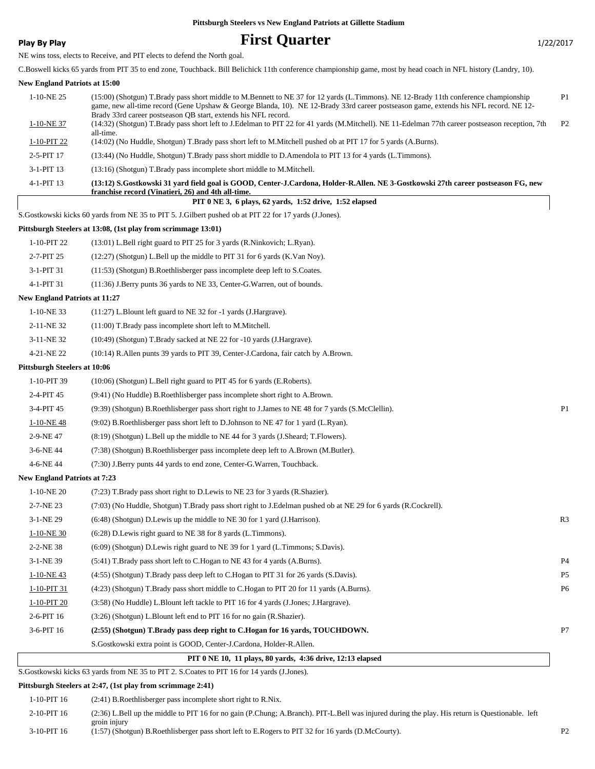## **Play By Play Play Play Play First Quarter** 1/22/2017

NE wins toss, elects to Receive, and PIT elects to defend the North goal.

C.Boswell kicks 65 yards from PIT 35 to end zone, Touchback. Bill Belichick 11th conference championship game, most by head coach in NFL history (Landry, 10).

#### **New England Patriots at 15:00**

| 1-10-NE 25                           | (15:00) (Shotgun) T.Brady pass short middle to M.Bennett to NE 37 for 12 yards (L.Timmons). NE 12-Brady 11th conference championship<br>game, new all-time record (Gene Upshaw & George Blanda, 10). NE 12-Brady 33rd career postseason game, extends his NFL record. NE 12- | P <sub>1</sub> |
|--------------------------------------|------------------------------------------------------------------------------------------------------------------------------------------------------------------------------------------------------------------------------------------------------------------------------|----------------|
| $1-10-NE$ 37                         | Brady 33rd career postseason QB start, extends his NFL record.<br>(14:32) (Shotgun) T.Brady pass short left to J.Edelman to PIT 22 for 41 yards (M.Mitchell). NE 11-Edelman 77th career postseason reception, 7th                                                            | P <sub>2</sub> |
| $1-10-PIT$ 22                        | all-time.<br>(14:02) (No Huddle, Shotgun) T.Brady pass short left to M.Mitchell pushed ob at PIT 17 for 5 yards (A.Burns).                                                                                                                                                   |                |
| 2-5-PIT 17                           | (13:44) (No Huddle, Shotgun) T.Brady pass short middle to D.Amendola to PIT 13 for 4 yards (L.Timmons).                                                                                                                                                                      |                |
| 3-1-PIT 13                           | (13:16) (Shotgun) T.Brady pass incomplete short middle to M.Mitchell.                                                                                                                                                                                                        |                |
| 4-1-PIT 13                           | (13:12) S.Gostkowski 31 yard field goal is GOOD, Center-J.Cardona, Holder-R.Allen. NE 3-Gostkowski 27th career postseason FG, new                                                                                                                                            |                |
|                                      | franchise record (Vinatieri, 26) and 4th all-time.<br>PIT 0 NE 3, 6 plays, 62 yards, 1:52 drive, 1:52 elapsed                                                                                                                                                                |                |
|                                      | S. Gostkowski kicks 60 yards from NE 35 to PIT 5. J. Gilbert pushed ob at PIT 22 for 17 yards (J. Jones).                                                                                                                                                                    |                |
|                                      | Pittsburgh Steelers at 13:08, (1st play from scrimmage 13:01)                                                                                                                                                                                                                |                |
| 1-10-PIT 22                          | (13:01) L.Bell right guard to PIT 25 for 3 yards (R.Ninkovich; L.Ryan).                                                                                                                                                                                                      |                |
| 2-7-PIT 25                           | (12:27) (Shotgun) L.Bell up the middle to PIT 31 for 6 yards (K.Van Noy).                                                                                                                                                                                                    |                |
| 3-1-PIT 31                           | (11:53) (Shotgun) B.Roethlisberger pass incomplete deep left to S.Coates.                                                                                                                                                                                                    |                |
| 4-1-PIT 31                           | (11:36) J.Berry punts 36 yards to NE 33, Center-G.Warren, out of bounds.                                                                                                                                                                                                     |                |
| <b>New England Patriots at 11:27</b> |                                                                                                                                                                                                                                                                              |                |
| $1-10-NE$ 33                         | $(11:27)$ L.Blount left guard to NE 32 for -1 yards (J.Hargrave).                                                                                                                                                                                                            |                |
| 2-11-NE 32                           | (11:00) T.Brady pass incomplete short left to M.Mitchell.                                                                                                                                                                                                                    |                |
| 3-11-NE 32                           | (10:49) (Shotgun) T.Brady sacked at NE 22 for -10 yards (J.Hargrave).                                                                                                                                                                                                        |                |
| 4-21-NE 22                           | (10:14) R.Allen punts 39 yards to PIT 39, Center-J.Cardona, fair catch by A.Brown.                                                                                                                                                                                           |                |
| <b>Pittsburgh Steelers at 10:06</b>  |                                                                                                                                                                                                                                                                              |                |
| 1-10-PIT 39                          | (10:06) (Shotgun) L.Bell right guard to PIT 45 for 6 yards (E.Roberts).                                                                                                                                                                                                      |                |
| 2-4-PIT 45                           | (9:41) (No Huddle) B.Roethlisberger pass incomplete short right to A.Brown.                                                                                                                                                                                                  |                |
| 3-4-PIT 45                           | (9:39) (Shotgun) B.Roethlisberger pass short right to J.James to NE 48 for 7 yards (S.McClellin).                                                                                                                                                                            | P <sub>1</sub> |
| $1-10-NE$ 48                         | $(9.02)$ B. Roethlisberger pass short left to D. Johnson to NE 47 for 1 yard (L. Ryan).                                                                                                                                                                                      |                |
| 2-9-NE47                             | (8:19) (Shotgun) L.Bell up the middle to NE 44 for 3 yards (J.Sheard; T.Flowers).                                                                                                                                                                                            |                |
| 3-6-NE 44                            | (7:38) (Shotgun) B.Roethlisberger pass incomplete deep left to A.Brown (M.Butler).                                                                                                                                                                                           |                |
| 4-6-NE 44                            | (7:30) J.Berry punts 44 yards to end zone, Center-G.Warren, Touchback.                                                                                                                                                                                                       |                |
| <b>New England Patriots at 7:23</b>  |                                                                                                                                                                                                                                                                              |                |
| $1-10-NE$ 20                         | (7:23) T.Brady pass short right to D.Lewis to NE 23 for 3 yards (R.Shazier).                                                                                                                                                                                                 |                |
| 2-7-NE 23                            | (7:03) (No Huddle, Shotgun) T.Brady pass short right to J.Edelman pushed ob at NE 29 for 6 yards (R.Cockrell).                                                                                                                                                               |                |
| 3-1-NE 29                            | (6:48) (Shotgun) D.Lewis up the middle to NE 30 for 1 yard (J.Harrison).                                                                                                                                                                                                     | R <sub>3</sub> |
| 1-10-NE 30                           | (6:28) D.Lewis right guard to NE 38 for 8 yards (L.Timmons).                                                                                                                                                                                                                 |                |
| 2-2-NE 38                            | (6:09) (Shotgun) D.Lewis right guard to NE 39 for 1 yard (L.Timmons; S.Davis).                                                                                                                                                                                               |                |
| 3-1-NE 39                            | (5:41) T.Brady pass short left to C.Hogan to NE 43 for 4 yards (A.Burns).                                                                                                                                                                                                    | P <sub>4</sub> |
| $1 - 10 - NE43$                      | (4:55) (Shotgun) T.Brady pass deep left to C.Hogan to PIT 31 for 26 yards (S.Davis).                                                                                                                                                                                         | P <sub>5</sub> |
| 1-10-PIT 31                          | (4:23) (Shotgun) T.Brady pass short middle to C.Hogan to PIT 20 for 11 yards (A.Burns).                                                                                                                                                                                      | P6             |
| 1-10-PIT 20                          | (3:58) (No Huddle) L.Blount left tackle to PIT 16 for 4 yards (J.Jones; J.Hargrave).                                                                                                                                                                                         |                |
| 2-6-PIT 16                           | (3:26) (Shotgun) L.Blount left end to PIT 16 for no gain (R.Shazier).                                                                                                                                                                                                        |                |
| 3-6-PIT 16                           | (2:55) (Shotgun) T.Brady pass deep right to C.Hogan for 16 yards, TOUCHDOWN.                                                                                                                                                                                                 | P7             |
|                                      | S.Gostkowski extra point is GOOD, Center-J.Cardona, Holder-R.Allen.                                                                                                                                                                                                          |                |
|                                      | PIT 0 NE 10, 11 plays, 80 yards, 4:36 drive, 12:13 elapsed                                                                                                                                                                                                                   |                |
|                                      | S.Gostkowski kicks 63 yards from NE 35 to PIT 2. S.Coates to PIT 16 for 14 yards (J.Jones).                                                                                                                                                                                  |                |

#### **Pittsburgh Steelers at 2:47, (1st play from scrimmage 2:41)**

| 1-10-PIT 16 | $(2:41)$ B. Roethlisberger pass incomplete short right to R. Nix.                                                                                               |                |
|-------------|-----------------------------------------------------------------------------------------------------------------------------------------------------------------|----------------|
| 2-10-PIT 16 | (2:36) L.Bell up the middle to PIT 16 for no gain (P.Chung; A.Branch). PIT-L.Bell was injured during the play. His return is Questionable. left<br>groin injury |                |
| 3-10-PIT 16 | (1:57) (Shotgun) B.Roethlisberger pass short left to E.Rogers to PIT 32 for 16 yards (D.McCourty).                                                              | P <sub>2</sub> |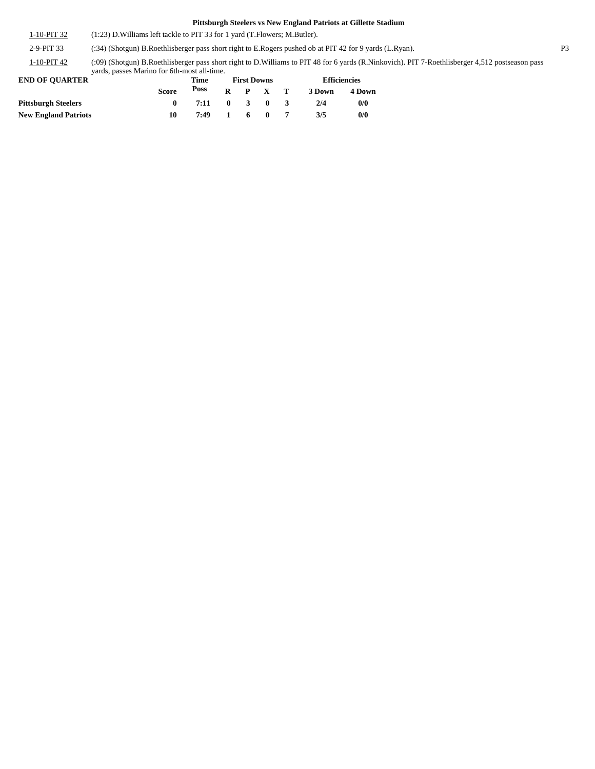1-10-PIT 32 (1:23) D.Williams left tackle to PIT 33 for 1 yard (T.Flowers; M.Butler).

2-9-PIT 33 (:34) (Shotgun) B.Roethlisberger pass short right to E.Rogers pushed ob at PIT 42 for 9 yards (L.Ryan). P3

(:09) (Shotgun) B.Roethlisberger pass short right to D.Williams to PIT 48 for 6 yards (R.Ninkovich). PIT 7-Roethlisberger 4,512 postseason pass yards, passes Marino for 6th-most all-time. 1-10-PIT 42

| <b>END OF OUARTER</b>       |       | Time |              | <b>First Downs</b>      |              | <b>Efficiencies</b> |        |  |
|-----------------------------|-------|------|--------------|-------------------------|--------------|---------------------|--------|--|
|                             | Score | Poss | R            |                         | P X T        | 3 Down              | 4 Down |  |
| <b>Pittsburgh Steelers</b>  |       | 7:11 | $\mathbf{0}$ | $\overline{\mathbf{3}}$ | $\mathbf{0}$ | 2/4                 | 0/0    |  |
| <b>New England Patriots</b> | 10    | 7:49 |              | 6                       | $\mathbf{0}$ | 3/5                 | 0/0    |  |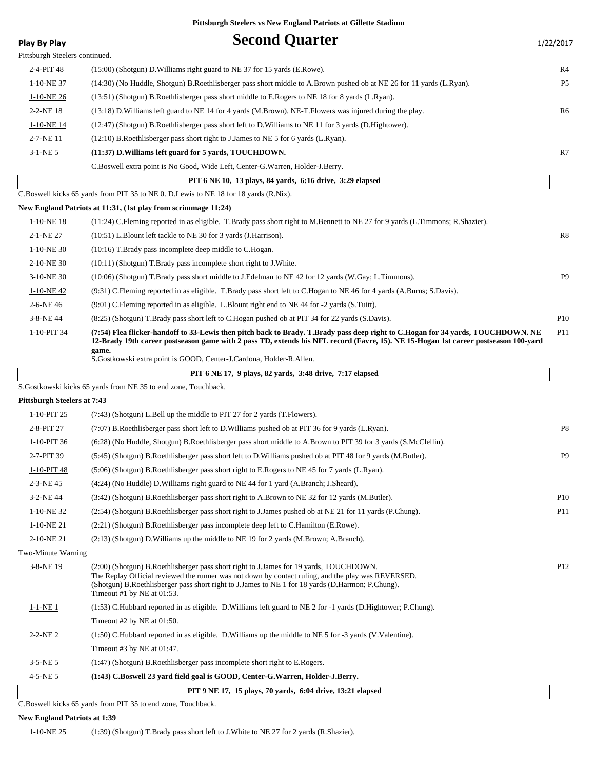| <b>Play By Play</b>                | <b>Second Quarter</b>                                                                                                                                                                                                                                                                                                          | 1/22/2017       |
|------------------------------------|--------------------------------------------------------------------------------------------------------------------------------------------------------------------------------------------------------------------------------------------------------------------------------------------------------------------------------|-----------------|
| Pittsburgh Steelers continued.     |                                                                                                                                                                                                                                                                                                                                |                 |
| 2-4-PIT 48                         | (15:00) (Shotgun) D. Williams right guard to NE 37 for 15 yards (E. Rowe).                                                                                                                                                                                                                                                     | R4              |
| 1-10-NE 37                         | (14:30) (No Huddle, Shotgun) B.Roethlisberger pass short middle to A.Brown pushed ob at NE 26 for 11 yards (L.Ryan).                                                                                                                                                                                                           | P <sub>5</sub>  |
| $1-10-NE$ 26                       | (13:51) (Shotgun) B.Roethlisberger pass short middle to E.Rogers to NE 18 for 8 yards (L.Ryan).                                                                                                                                                                                                                                |                 |
| 2-2-NE 18                          | (13:18) D. Williams left guard to NE 14 for 4 yards (M. Brown). NE-T. Flowers was injured during the play.                                                                                                                                                                                                                     | R6              |
| 1-10-NE 14                         | (12:47) (Shotgun) B.Roethlisberger pass short left to D.Williams to NE 11 for 3 yards (D.Hightower).                                                                                                                                                                                                                           |                 |
| 2-7-NE 11                          | (12:10) B.Roethlisberger pass short right to J.James to NE 5 for 6 yards (L.Ryan).                                                                                                                                                                                                                                             |                 |
| $3-1-NE$ 5                         | (11:37) D. Williams left guard for 5 yards, TOUCHDOWN.                                                                                                                                                                                                                                                                         | R7              |
|                                    | C.Boswell extra point is No Good, Wide Left, Center-G.Warren, Holder-J.Berry.                                                                                                                                                                                                                                                  |                 |
|                                    | PIT 6 NE 10, 13 plays, 84 yards, 6:16 drive, 3:29 elapsed                                                                                                                                                                                                                                                                      |                 |
|                                    | C.Boswell kicks 65 yards from PIT 35 to NE 0. D.Lewis to NE 18 for 18 yards (R.Nix).                                                                                                                                                                                                                                           |                 |
|                                    | New England Patriots at 11:31, (1st play from scrimmage 11:24)                                                                                                                                                                                                                                                                 |                 |
| $1-10-NE$ 18                       | (11:24) C.Fleming reported in as eligible. T.Brady pass short right to M.Bennett to NE 27 for 9 yards (L.Timmons; R.Shazier).                                                                                                                                                                                                  |                 |
| 2-1-NE 27                          | (10:51) L.Blount left tackle to NE 30 for 3 yards (J.Harrison).                                                                                                                                                                                                                                                                | R8              |
| $1-10-NE$ 30                       | $(10:16)$ T. Brady pass incomplete deep middle to C. Hogan.                                                                                                                                                                                                                                                                    |                 |
| 2-10-NE 30                         | $(10:11)$ (Shotgun) T.Brady pass incomplete short right to J.White.                                                                                                                                                                                                                                                            |                 |
| 3-10-NE 30                         | (10:06) (Shotgun) T.Brady pass short middle to J.Edelman to NE 42 for 12 yards (W.Gay; L.Timmons).                                                                                                                                                                                                                             | P <sub>9</sub>  |
| $1-10-NE$ 42                       | (9:31) C.Fleming reported in as eligible. T.Brady pass short left to C.Hogan to NE 46 for 4 yards (A.Burns; S.Davis).                                                                                                                                                                                                          |                 |
| 2-6-NE 46                          | $(9:01)$ C. Fleming reported in as eligible. L. Blount right end to NE 44 for -2 yards (S. Tuitt).                                                                                                                                                                                                                             |                 |
| 3-8-NE 44                          | (8:25) (Shotgun) T.Brady pass short left to C.Hogan pushed ob at PIT 34 for 22 yards (S.Davis).                                                                                                                                                                                                                                | P <sub>10</sub> |
| 1-10-PIT 34                        | (7:54) Flea flicker-handoff to 33-Lewis then pitch back to Brady. T.Brady pass deep right to C.Hogan for 34 yards, TOUCHDOWN. NE<br>12-Brady 19th career postseason game with 2 pass TD, extends his NFL record (Favre, 15). NE 15-Hogan 1st career postseason 100-yard<br>game.                                               | P11             |
|                                    | S. Gostkowski extra point is GOOD, Center-J. Cardona, Holder-R. Allen.                                                                                                                                                                                                                                                         |                 |
|                                    | PIT 6 NE 17, 9 plays, 82 yards, 3:48 drive, 7:17 elapsed                                                                                                                                                                                                                                                                       |                 |
|                                    | S. Gostkowski kicks 65 yards from NE 35 to end zone, Touchback.                                                                                                                                                                                                                                                                |                 |
| <b>Pittsburgh Steelers at 7:43</b> |                                                                                                                                                                                                                                                                                                                                |                 |
| 1-10-PIT 25                        | (7:43) (Shotgun) L.Bell up the middle to PIT 27 for 2 yards (T.Flowers).                                                                                                                                                                                                                                                       |                 |
| 2-8-PIT 27                         | (7:07) B.Roethlisberger pass short left to D.Williams pushed ob at PIT 36 for 9 yards (L.Ryan).                                                                                                                                                                                                                                | P <sub>8</sub>  |
| 1-10-PIT 36                        | (6:28) (No Huddle, Shotgun) B.Roethlisberger pass short middle to A.Brown to PIT 39 for 3 yards (S.McClellin).                                                                                                                                                                                                                 |                 |
| 2-7-PIT 39                         | (5:45) (Shotgun) B.Roethlisberger pass short left to D.Williams pushed ob at PIT 48 for 9 yards (M.Butler).                                                                                                                                                                                                                    | P <sub>9</sub>  |
| 1-10-PIT 48                        | (5:06) (Shotgun) B.Roethlisberger pass short right to E.Rogers to NE 45 for 7 yards (L.Ryan).                                                                                                                                                                                                                                  |                 |
| 2-3-NE 45                          | (4:24) (No Huddle) D. Williams right guard to NE 44 for 1 yard (A. Branch; J. Sheard).                                                                                                                                                                                                                                         |                 |
| 3-2-NE 44                          | (3:42) (Shotgun) B.Roethlisberger pass short right to A.Brown to NE 32 for 12 yards (M.Butler).                                                                                                                                                                                                                                | <b>P10</b>      |
| $1-10-NE$ 32                       | (2:54) (Shotgun) B.Roethlisberger pass short right to J.James pushed ob at NE 21 for 11 yards (P.Chung).                                                                                                                                                                                                                       | P11             |
| $1-10-NE$ 21                       | (2:21) (Shotgun) B.Roethlisberger pass incomplete deep left to C.Hamilton (E.Rowe).                                                                                                                                                                                                                                            |                 |
| 2-10-NE 21                         | $(2:13)$ (Shotgun) D. Williams up the middle to NE 19 for 2 yards (M. Brown; A. Branch).                                                                                                                                                                                                                                       |                 |
| Two-Minute Warning                 |                                                                                                                                                                                                                                                                                                                                |                 |
| 3-8-NE 19                          | (2:00) (Shotgun) B.Roethlisberger pass short right to J.James for 19 yards, TOUCHDOWN.<br>The Replay Official reviewed the runner was not down by contact ruling, and the play was REVERSED.<br>(Shotgun) B.Roethlisberger pass short right to J.James to NE 1 for 18 yards (D.Harmon; P.Chung).<br>Timeout #1 by NE at 01:53. | P <sub>12</sub> |
| $1 - 1 - NE$ 1                     | (1:53) C.Hubbard reported in as eligible. D.Williams left guard to NE 2 for -1 yards (D.Hightower; P.Chung).                                                                                                                                                                                                                   |                 |
|                                    | Timeout #2 by NE at 01:50.                                                                                                                                                                                                                                                                                                     |                 |
| $2 - 2 - NE2$                      | $(1:50)$ C.Hubbard reported in as eligible. D.Williams up the middle to NE 5 for -3 yards (V.Valentine).                                                                                                                                                                                                                       |                 |
|                                    | Timeout #3 by NE at $01:47$ .                                                                                                                                                                                                                                                                                                  |                 |
| $3-5-NE$ 5                         | (1:47) (Shotgun) B.Roethlisberger pass incomplete short right to E.Rogers.                                                                                                                                                                                                                                                     |                 |
| $4 - 5 - NE_5$                     | (1:43) C.Boswell 23 yard field goal is GOOD, Center-G.Warren, Holder-J.Berry.                                                                                                                                                                                                                                                  |                 |
|                                    | PIT 9 NE 17, 15 plays, 70 yards, 6:04 drive, 13:21 elapsed                                                                                                                                                                                                                                                                     |                 |
|                                    | C.Boswell kicks 65 yards from PIT 35 to end zone, Touchback.                                                                                                                                                                                                                                                                   |                 |

### **New England Patriots at 1:39**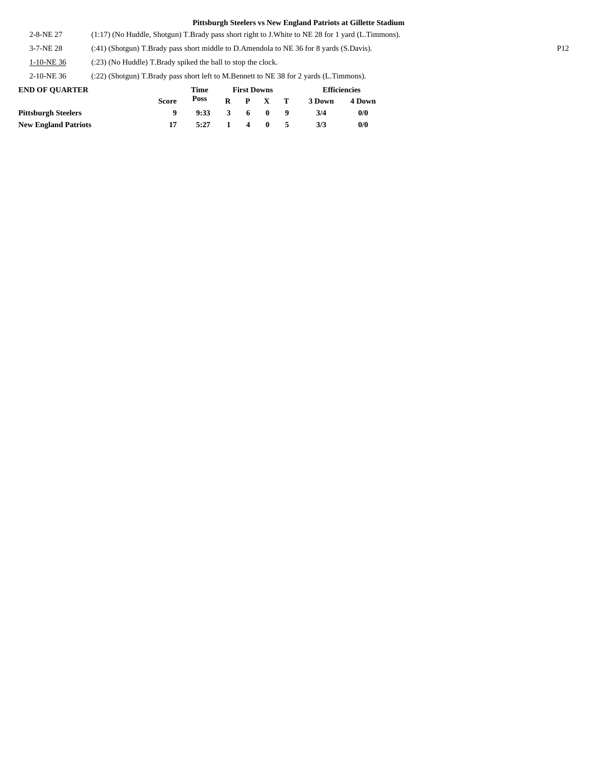2-8-NE 27 (1:17) (No Huddle, Shotgun) T.Brady pass short right to J.White to NE 28 for 1 yard (L.Timmons).

3-7-NE 28 (:41) (Shotgun) T.Brady pass short middle to D.Amendola to NE 36 for 8 yards (S.Davis). P12

1-10-NE 36 (:23) (No Huddle) T.Brady spiked the ball to stop the clock.

2-10-NE 36 (:22) (Shotgun) T.Brady pass short left to M.Bennett to NE 38 for 2 yards (L.Timmons).

| <b>END OF OUARTER</b>       |              | Time |                  | <b>First Downs</b> |                 | <b>Efficiencies</b> |        |  |
|-----------------------------|--------------|------|------------------|--------------------|-----------------|---------------------|--------|--|
|                             | <b>Score</b> | Poss |                  |                    | $R$ $P$ $X$ $T$ | 3 Down              | 4 Down |  |
| <b>Pittsburgh Steelers</b>  |              | 9:33 |                  | 360                |                 | 3/4                 | 0/0    |  |
| <b>New England Patriots</b> |              | 5:27 | $\blacksquare$ 1 | $\overline{4}$ 0   |                 | 3/3                 | 0/0    |  |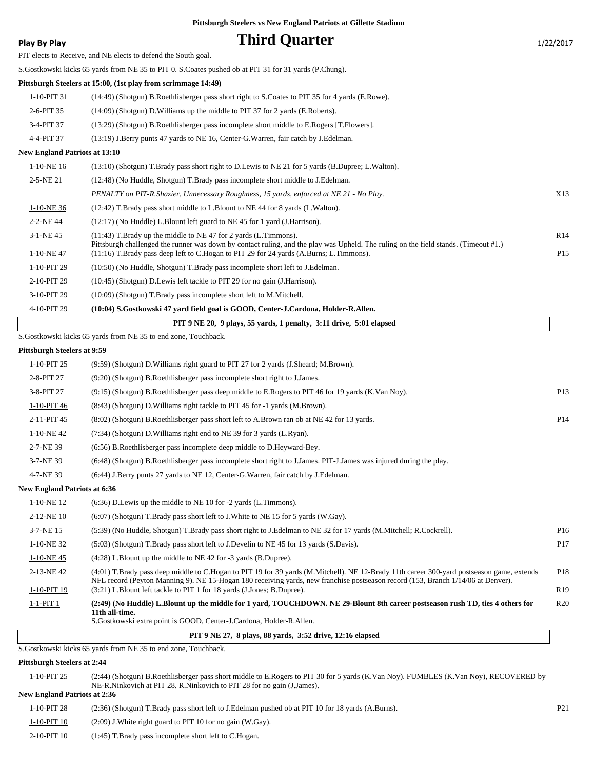### **Play By Play Play Play Play Play By Play Play By Play Play By Play Play Play Play Play Play Play Play Play Play Play Play Play Play Play Play Play Play Play Play Play**

PIT elects to Receive, and NE elects to defend the South goal.

S.Gostkowski kicks 65 yards from NE 35 to PIT 0. S.Coates pushed ob at PIT 31 for 31 yards (P.Chung).

#### **Pittsburgh Steelers at 15:00, (1st play from scrimmage 14:49)**

1-10-PIT 31 (14:49) (Shotgun) B.Roethlisberger pass short right to S.Coates to PIT 35 for 4 yards (E.Rowe). 2-6-PIT 35 (14:09) (Shotgun) D.Williams up the middle to PIT 37 for 2 yards (E.Roberts). 3-4-PIT 37 (13:29) (Shotgun) B.Roethlisberger pass incomplete short middle to E.Rogers [T.Flowers]. 4-4-PIT 37 (13:19) J.Berry punts 47 yards to NE 16, Center-G.Warren, fair catch by J.Edelman.

#### **New England Patriots at 13:10**

|                 | PIT 9 NE 20, 9 plays, 55 yards, 1 penalty, 3:11 drive, 5:01 elapsed                                                                                                                                                           |                 |
|-----------------|-------------------------------------------------------------------------------------------------------------------------------------------------------------------------------------------------------------------------------|-----------------|
| 4-10-PIT 29     | (10:04) S.Gostkowski 47 vard field goal is GOOD, Center-J.Cardona, Holder-R.Allen.                                                                                                                                            |                 |
| 3-10-PIT 29     | $(10:09)$ (Shotgun) T.Brady pass incomplete short left to M.Mitchell.                                                                                                                                                         |                 |
| 2-10-PIT 29     | $(10:45)$ (Shotgun) D. Lewis left tackle to PIT 29 for no gain (J. Harrison).                                                                                                                                                 |                 |
| 1-10-PIT 29     | (10:50) (No Huddle, Shotgun) T.Brady pass incomplete short left to J.Edelman.                                                                                                                                                 |                 |
| 1-10-NE47       | Pittsburgh challenged the runner was down by contact ruling, and the play was Upheld. The ruling on the field stands. (Timeout #1.)<br>(11:16) T.Brady pass deep left to C.Hogan to PIT 29 for 24 yards (A.Burns; L.Timmons). | P <sub>15</sub> |
| $3-1-NE$ 45     | $(11:43)$ T.Brady up the middle to NE 47 for 2 yards (L.Timmons).                                                                                                                                                             | R14             |
| 2-2-NE44        | (12:17) (No Huddle) L. Blount left guard to NE 45 for 1 yard (J. Harrison).                                                                                                                                                   |                 |
| 1-10-NE 36      | $(12:42)$ T.Brady pass short middle to L.Blount to NE 44 for 8 yards (L.Walton).                                                                                                                                              |                 |
|                 | PENALTY on PIT-R.Shazier, Unnecessary Roughness, 15 yards, enforced at NE 21 - No Play.                                                                                                                                       | X13             |
| $2 - 5 - NE$ 21 | (12:48) (No Huddle, Shotgun) T.Brady pass incomplete short middle to J.Edelman.                                                                                                                                               |                 |
| $1-10-NE$ 16    | (13:10) (Shotgun) T.Brady pass short right to D.Lewis to NE 21 for 5 yards (B.Dupree; L.Walton).                                                                                                                              |                 |
|                 |                                                                                                                                                                                                                               |                 |

#### S.Gostkowski kicks 65 yards from NE 35 to end zone, Touchback.

#### **Pittsburgh Steelers at 9:59**

| 1-10-PIT 25                         | (9:59) (Shotgun) D. Williams right guard to PIT 27 for 2 yards (J. Sheard; M. Brown).                                                                                                                                      |                 |
|-------------------------------------|----------------------------------------------------------------------------------------------------------------------------------------------------------------------------------------------------------------------------|-----------------|
| 2-8-PIT 27                          | (9:20) (Shotgun) B.Roethlisberger pass incomplete short right to J.James.                                                                                                                                                  |                 |
| 3-8-PIT 27                          | (9:15) (Shotgun) B.Roethlisberger pass deep middle to E.Rogers to PIT 46 for 19 yards (K.Van Noy).                                                                                                                         | P <sub>13</sub> |
| 1-10-PIT 46                         | (8.43) (Shotgun) D. Williams right tackle to PIT 45 for -1 yards (M. Brown).                                                                                                                                               |                 |
| 2-11-PIT 45                         | (8.02) (Shotgun) B.Roethlisberger pass short left to A.Brown ran ob at NE 42 for 13 yards.                                                                                                                                 | P <sub>14</sub> |
| 1-10-NE42                           | (7:34) (Shotgun) D. Williams right end to NE 39 for 3 yards (L. Ryan).                                                                                                                                                     |                 |
| 2-7-NE 39                           | $(6.56)$ B. Roethlisberger pass incomplete deep middle to D. Heyward-Bey.                                                                                                                                                  |                 |
| 3-7-NE 39                           | (6:48) (Shotgun) B.Roethlisberger pass incomplete short right to J.James. PIT-J.James was injured during the play.                                                                                                         |                 |
| 4-7-NE 39                           | (6:44) J.Berry punts 27 yards to NE 12, Center-G.Warren, fair catch by J.Edelman.                                                                                                                                          |                 |
| <b>New England Patriots at 6:36</b> |                                                                                                                                                                                                                            |                 |
| 1-10-NE 12                          | $(6:36)$ D. Lewis up the middle to NE 10 for $-2$ yards (L. Timmons).                                                                                                                                                      |                 |
| 2-12-NE 10                          | $(6.07)$ (Shotgun) T.Brady pass short left to J.White to NE 15 for 5 yards (W.Gay).                                                                                                                                        |                 |
| 3-7-NE 15                           | (5:39) (No Huddle, Shotgun) T.Brady pass short right to J.Edelman to NE 32 for 17 yards (M.Mitchell; R.Cockrell).                                                                                                          | P <sub>16</sub> |
| 1-10-NE 32                          | (5:03) (Shotgun) T.Brady pass short left to J.Develin to NE 45 for 13 yards (S.Davis).                                                                                                                                     | P17             |
| 1-10-NE45                           | $(4:28)$ L.Blount up the middle to NE 42 for $-3$ vards (B.Dupree).                                                                                                                                                        |                 |
| 2-13-NE42                           | (4:01) T.Brady pass deep middle to C.Hogan to PIT 19 for 39 yards (M.Mitchell). NE 12-Brady 11th career 300-yard postseason game, extends                                                                                  | P18             |
| 1-10-PIT 19                         | NFL record (Peyton Manning 9). NE 15-Hogan 180 receiving vards, new franchise postseason record (153, Branch 1/14/06 at Denver).<br>(3:21) L.Blount left tackle to PIT 1 for 18 yards (J.Jones; B.Dupree).                 | R <sub>19</sub> |
| $1-1-PIT$ 1                         | (2:49) (No Huddle) L.Blount up the middle for 1 yard, TOUCHDOWN. NE 29-Blount 8th career postseason rush TD, ties 4 others for<br>11th all-time.<br>S. Gostkowski extra point is GOOD, Center-J. Cardona, Holder-R. Allen. | R20             |

#### **PIT 9 NE 27, 8 plays, 88 yards, 3:52 drive, 12:16 elapsed**

S.Gostkowski kicks 65 yards from NE 35 to end zone, Touchback.

#### **Pittsburgh Steelers at 2:44**

| 1-10-PIT 25                         | (2:44) (Shotgun) B.Roethlisberger pass short middle to E.Rogers to PIT 30 for 5 yards (K.Van Noy). FUMBLES (K.Van Noy), RECOVERED by |
|-------------------------------------|--------------------------------------------------------------------------------------------------------------------------------------|
|                                     | NE-R.Ninkovich at PIT 28. R.Ninkovich to PIT 28 for no gain (J.James).                                                               |
| <b>New England Patriots at 2:36</b> |                                                                                                                                      |

| 1-10-PIT 28 | (2:36) (Shotgun) T.Brady pass short left to J.Edelman pushed ob at PIT 10 for 18 yards (A.Burns). | P21 |
|-------------|---------------------------------------------------------------------------------------------------|-----|
| 1-10-PIT 10 | $(2:09)$ J. White right guard to PIT 10 for no gain (W.Gay).                                      |     |
| 2-10-PIT 10 | $(1:45)$ T.Brady pass incomplete short left to C.Hogan.                                           |     |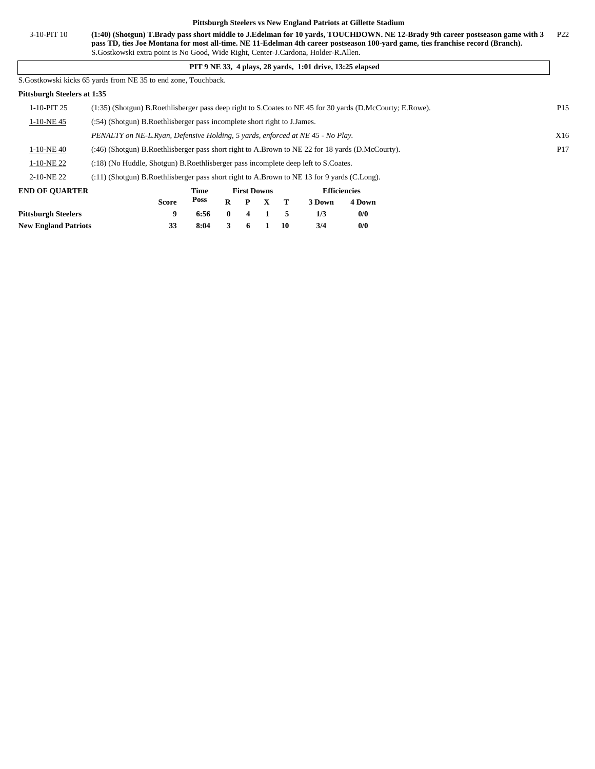3-10-PIT 10 (1:40) (Shotgun) T.Brady pass short middle to J.Edelman for 10 yards, TOUCHDOWN. NE 12-Brady 9th career postseason game with 3 P22 **pass TD, ties Joe Montana for most all-time. NE 11-Edelman 4th career postseason 100-yard game, ties franchise record (Branch).** S.Gostkowski extra point is No Good, Wide Right, Center-J.Cardona, Holder-R.Allen.

#### **PIT 9 NE 33, 4 plays, 28 yards, 1:01 drive, 13:25 elapsed**

S.Gostkowski kicks 65 yards from NE 35 to end zone, Touchback.

#### **Pittsburgh Steelers at 1:35**

|                       | Poss<br>4 Down<br>R<br>3 Down<br>Score<br>P                                                                                  |                 |  |  |  |  |  |  |  |  |
|-----------------------|------------------------------------------------------------------------------------------------------------------------------|-----------------|--|--|--|--|--|--|--|--|
| <b>END OF OUARTER</b> | <b>Efficiencies</b><br>Time<br><b>First Downs</b>                                                                            |                 |  |  |  |  |  |  |  |  |
| 2-10-NE 22            | $(11)$ (Shotgun) B. Roethlisberger pass short right to A. Brown to NE 13 for 9 yards (C. Long).                              |                 |  |  |  |  |  |  |  |  |
| 1-10-NE 22            | (:18) (No Huddle, Shotgun) B.Roethlisberger pass incomplete deep left to S.Coates.                                           |                 |  |  |  |  |  |  |  |  |
| 1-10-NE 40            | (:46) (Shotgun) B.Roethlisberger pass short right to A.Brown to NE 22 for 18 yards (D.McCourty).                             | P <sub>17</sub> |  |  |  |  |  |  |  |  |
|                       | PENALTY on NE-L.Ryan, Defensive Holding, 5 yards, enforced at NE 45 - No Play.                                               |                 |  |  |  |  |  |  |  |  |
| 1-10-NE 45            | (:54) (Shotgun) B.Roethlisberger pass incomplete short right to J.James.                                                     |                 |  |  |  |  |  |  |  |  |
| 1-10-PIT 25           | P <sub>15</sub><br>(1:35) (Shotgun) B.Roethlisberger pass deep right to S.Coates to NE 45 for 30 yards (D.McCourty; E.Rowe). |                 |  |  |  |  |  |  |  |  |
|                       |                                                                                                                              |                 |  |  |  |  |  |  |  |  |

|                             | <b>Score</b> | Poss           |       |  |     | R P X T 3Down | 4 Dow |
|-----------------------------|--------------|----------------|-------|--|-----|---------------|-------|
| Pittsburgh Steelers         |              | $6:56$ 0 4 1 5 |       |  |     |               | 0/0   |
| <b>New England Patriots</b> |              | 8:04           | 3 6 1 |  | -10 | 3/4           | 0/0   |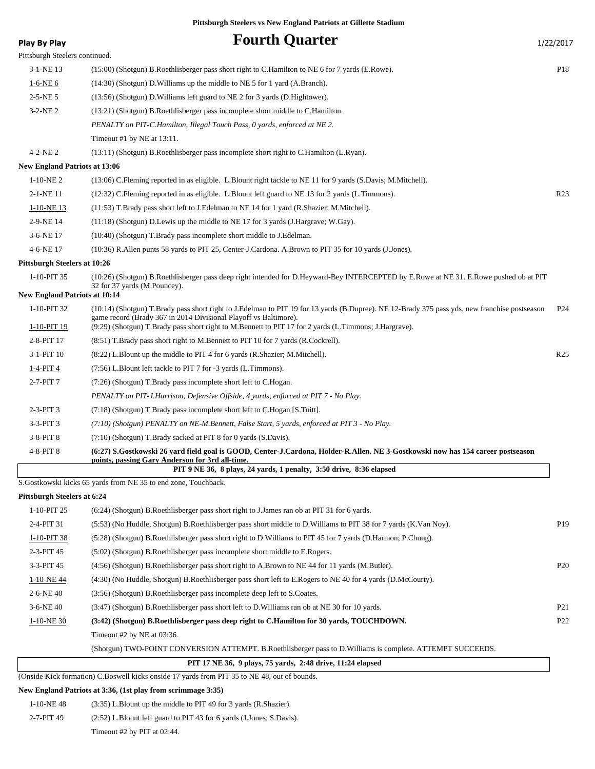| Play By Play                         | <b>Fourth Quarter</b>                                                                                                                                                                                                                                                                                                      | 1/22/2017       |
|--------------------------------------|----------------------------------------------------------------------------------------------------------------------------------------------------------------------------------------------------------------------------------------------------------------------------------------------------------------------------|-----------------|
| Pittsburgh Steelers continued.       |                                                                                                                                                                                                                                                                                                                            |                 |
| $3-1-NE$ 13                          | (15:00) (Shotgun) B.Roethlisberger pass short right to C.Hamilton to NE 6 for 7 yards (E.Rowe).                                                                                                                                                                                                                            | P <sub>18</sub> |
| $1-6-NE$ 6                           | (14:30) (Shotgun) D. Williams up the middle to NE 5 for 1 yard (A. Branch).                                                                                                                                                                                                                                                |                 |
| $2 - 5 - NE$ 5                       | (13:56) (Shotgun) D. Williams left guard to NE 2 for 3 yards (D. Hightower).                                                                                                                                                                                                                                               |                 |
| $3-2-NE2$                            | (13:21) (Shotgun) B.Roethlisberger pass incomplete short middle to C.Hamilton.                                                                                                                                                                                                                                             |                 |
|                                      | PENALTY on PIT-C.Hamilton, Illegal Touch Pass, 0 yards, enforced at NE 2.                                                                                                                                                                                                                                                  |                 |
|                                      | Timeout #1 by NE at $13:11$ .                                                                                                                                                                                                                                                                                              |                 |
| $4-2-NE2$                            | (13:11) (Shotgun) B.Roethlisberger pass incomplete short right to C.Hamilton (L.Ryan).                                                                                                                                                                                                                                     |                 |
| <b>New England Patriots at 13:06</b> |                                                                                                                                                                                                                                                                                                                            |                 |
| $1-10-NE2$                           | (13:06) C.Fleming reported in as eligible. L.Blount right tackle to NE 11 for 9 yards (S.Davis; M.Mitchell).                                                                                                                                                                                                               |                 |
| 2-1-NE 11                            | (12:32) C.Fleming reported in as eligible. L.Blount left guard to NE 13 for 2 yards (L.Timmons).                                                                                                                                                                                                                           | R <sub>23</sub> |
| $1-10-NE$ 13                         | (11:53) T.Brady pass short left to J.Edelman to NE 14 for 1 yard (R.Shazier; M.Mitchell).                                                                                                                                                                                                                                  |                 |
| 2-9-NE 14                            | $(11:18)$ (Shotgun) D. Lewis up the middle to NE 17 for 3 yards (J. Hargrave; W. Gay).                                                                                                                                                                                                                                     |                 |
| 3-6-NE 17                            | (10:40) (Shotgun) T.Brady pass incomplete short middle to J.Edelman.                                                                                                                                                                                                                                                       |                 |
| 4-6-NE 17                            | (10:36) R.Allen punts 58 yards to PIT 25, Center-J.Cardona. A.Brown to PIT 35 for 10 yards (J.Jones).                                                                                                                                                                                                                      |                 |
| <b>Pittsburgh Steelers at 10:26</b>  |                                                                                                                                                                                                                                                                                                                            |                 |
| 1-10-PIT 35                          | (10:26) (Shotgun) B.Roethlisberger pass deep right intended for D.Heyward-Bey INTERCEPTED by E.Rowe at NE 31. E.Rowe pushed ob at PIT<br>32 for 37 yards (M.Pouncey).                                                                                                                                                      |                 |
| <b>New England Patriots at 10:14</b> |                                                                                                                                                                                                                                                                                                                            |                 |
| 1-10-PIT 32<br>1-10-PIT 19           | (10:14) (Shotgun) T.Brady pass short right to J.Edelman to PIT 19 for 13 yards (B.Dupree). NE 12-Brady 375 pass yds, new franchise postseason<br>game record (Brady 367 in 2014 Divisional Playoff vs Baltimore).<br>(9:29) (Shotgun) T.Brady pass short right to M.Bennett to PIT 17 for 2 yards (L.Timmons; J.Hargrave). | P <sub>24</sub> |
| 2-8-PIT 17                           | (8.51) T.Brady pass short right to M.Bennett to PIT 10 for 7 yards (R.Cockrell).                                                                                                                                                                                                                                           |                 |
| 3-1-PIT 10                           | (8.22) L.Blount up the middle to PIT 4 for 6 yards (R.Shazier; M.Mitchell).                                                                                                                                                                                                                                                | R <sub>25</sub> |
| $1-4-PIT4$                           | (7:56) L.Blount left tackle to PIT 7 for -3 yards (L.Timmons).                                                                                                                                                                                                                                                             |                 |
| 2-7-PIT 7                            | (7:26) (Shotgun) T.Brady pass incomplete short left to C.Hogan.                                                                                                                                                                                                                                                            |                 |
|                                      | PENALTY on PIT-J.Harrison, Defensive Offside, 4 yards, enforced at PIT 7 - No Play.                                                                                                                                                                                                                                        |                 |
| $2-3-PIT3$                           | (7:18) (Shotgun) T.Brady pass incomplete short left to C.Hogan [S.Tuitt].                                                                                                                                                                                                                                                  |                 |
| $3-3-PIT3$                           | (7:10) (Shotgun) PENALTY on NE-M.Bennett, False Start, 5 yards, enforced at PIT 3 - No Play.                                                                                                                                                                                                                               |                 |
| $3-8-PIT8$                           | (7:10) (Shotgun) T.Brady sacked at PIT 8 for 0 yards (S.Davis).                                                                                                                                                                                                                                                            |                 |
| 4-8-PIT 8                            | (6:27) S.Gostkowski 26 yard field goal is GOOD, Center-J.Cardona, Holder-R.Allen. NE 3-Gostkowski now has 154 career postseason<br>points, passing Gary Anderson for 3rd all-time.                                                                                                                                         |                 |
|                                      | PIT 9 NE 36, 8 plays, 24 yards, 1 penalty, 3:50 drive, 8:36 elapsed                                                                                                                                                                                                                                                        |                 |
|                                      | S. Gostkowski kicks 65 yards from NE 35 to end zone, Touchback.                                                                                                                                                                                                                                                            |                 |
| <b>Pittsburgh Steelers at 6:24</b>   |                                                                                                                                                                                                                                                                                                                            |                 |
| 1-10-PIT 25                          | (6:24) (Shotgun) B.Roethlisberger pass short right to J.James ran ob at PIT 31 for 6 yards.                                                                                                                                                                                                                                |                 |
| 2-4-PIT 31                           | (5.53) (No Huddle, Shotgun) B.Roethlisberger pass short middle to D.Williams to PIT 38 for 7 yards (K.Van Noy).                                                                                                                                                                                                            | P <sub>19</sub> |
| 1-10-PIT 38                          | (5:28) (Shotgun) B.Roethlisberger pass short right to D.Williams to PIT 45 for 7 yards (D.Harmon; P.Chung).                                                                                                                                                                                                                |                 |
| 2-3-PIT 45                           | (5:02) (Shotgun) B.Roethlisberger pass incomplete short middle to E.Rogers.                                                                                                                                                                                                                                                |                 |
| 3-3-PIT 45                           | (4:56) (Shotgun) B.Roethlisberger pass short right to A.Brown to NE 44 for 11 yards (M.Butler).                                                                                                                                                                                                                            | P <sub>20</sub> |
| $1-10-NE$ 44                         | (4:30) (No Huddle, Shotgun) B.Roethlisberger pass short left to E.Rogers to NE 40 for 4 yards (D.McCourty).                                                                                                                                                                                                                |                 |
| $2-6-NE$ 40                          | (3:56) (Shotgun) B.Roethlisberger pass incomplete deep left to S.Coates.                                                                                                                                                                                                                                                   |                 |
| 3-6-NE 40                            | (3:47) (Shotgun) B.Roethlisberger pass short left to D.Williams ran ob at NE 30 for 10 yards.                                                                                                                                                                                                                              | P <sub>21</sub> |
| $1-10-NE$ 30                         | (3:42) (Shotgun) B.Roethlisberger pass deep right to C.Hamilton for 30 yards, TOUCHDOWN.                                                                                                                                                                                                                                   | P <sub>22</sub> |
|                                      | Timeout #2 by NE at 03:36.                                                                                                                                                                                                                                                                                                 |                 |

(Shotgun) TWO-POINT CONVERSION ATTEMPT. B.Roethlisberger pass to D.Williams is complete. ATTEMPT SUCCEEDS.

 **PIT 17 NE 36, 9 plays, 75 yards, 2:48 drive, 11:24 elapsed**

(Onside Kick formation) C.Boswell kicks onside 17 yards from PIT 35 to NE 48, out of bounds.

### **New England Patriots at 3:36, (1st play from scrimmage 3:35)**

1-10-NE 48 (3:35) L.Blount up the middle to PIT 49 for 3 yards (R.Shazier). 2-7-PIT 49 (2:52) L.Blount left guard to PIT 43 for 6 yards (J.Jones; S.Davis). Timeout #2 by PIT at 02:44.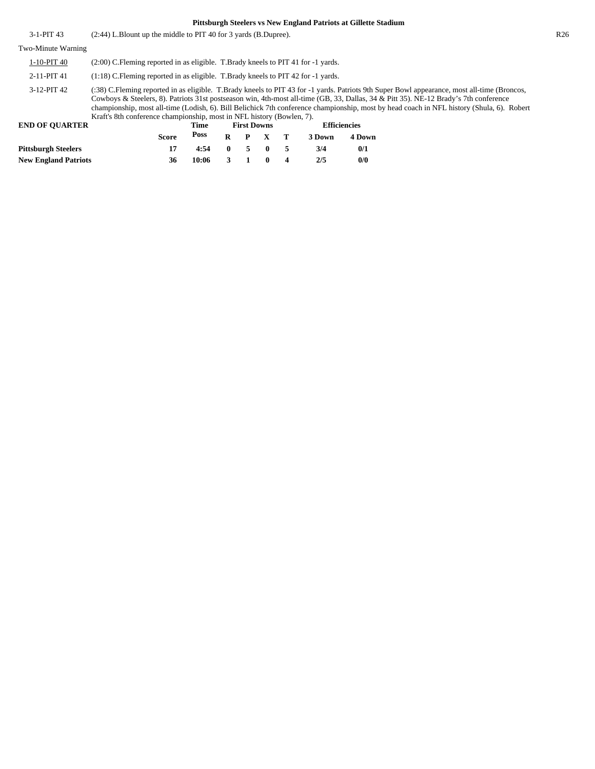| 3-1-PIT 43                           | (2:44) L.Blount up the middle to PIT 40 for 3 yards (B.Dupree).                                                                                                                                                                                                                                                                                                                                                                                                                                           |              |             |              |                    |              |   |        | R26                 |  |  |
|--------------------------------------|-----------------------------------------------------------------------------------------------------------------------------------------------------------------------------------------------------------------------------------------------------------------------------------------------------------------------------------------------------------------------------------------------------------------------------------------------------------------------------------------------------------|--------------|-------------|--------------|--------------------|--------------|---|--------|---------------------|--|--|
| Two-Minute Warning                   |                                                                                                                                                                                                                                                                                                                                                                                                                                                                                                           |              |             |              |                    |              |   |        |                     |  |  |
| $1-10-PIT$ 40                        | $(2:00)$ C. Fleming reported in as eligible. T. Brady kneels to PIT 41 for $-1$ yards.                                                                                                                                                                                                                                                                                                                                                                                                                    |              |             |              |                    |              |   |        |                     |  |  |
| 2-11-PIT 41                          | $(1.18)$ C. Fleming reported in as eligible. T. Brady kneels to PIT 42 for -1 yards.                                                                                                                                                                                                                                                                                                                                                                                                                      |              |             |              |                    |              |   |        |                     |  |  |
| 3-12-PIT 42<br><b>END OF OUARTER</b> | (:38) C.Fleming reported in as eligible. T.Brady kneels to PIT 43 for -1 yards. Patriots 9th Super Bowl appearance, most all-time (Broncos,<br>Cowboys & Steelers, 8). Patriots 31st postseason win, 4th-most all-time (GB, 33, Dallas, 34 & Pitt 35). NE-12 Brady's 7th conference<br>championship, most all-time (Lodish, 6). Bill Belichick 7th conference championship, most by head coach in NFL history (Shula, 6). Robert<br>Kraft's 8th conference championship, most in NFL history (Bowlen, 7). |              |             |              |                    |              |   |        |                     |  |  |
|                                      |                                                                                                                                                                                                                                                                                                                                                                                                                                                                                                           |              | Time        |              | <b>First Downs</b> |              |   |        | <b>Efficiencies</b> |  |  |
|                                      |                                                                                                                                                                                                                                                                                                                                                                                                                                                                                                           | <b>Score</b> | <b>Poss</b> | R            | P                  | X.           | т | 3 Down | 4 Down              |  |  |
| <b>Pittsburgh Steelers</b>           |                                                                                                                                                                                                                                                                                                                                                                                                                                                                                                           | 17           | 4:54        | $\mathbf{0}$ | 5                  | $\mathbf{0}$ | 5 | 3/4    | 0/1                 |  |  |
| <b>New England Patriots</b>          |                                                                                                                                                                                                                                                                                                                                                                                                                                                                                                           | 36           | 10:06       | 3            |                    | 0            | 4 | 2/5    | 0/0                 |  |  |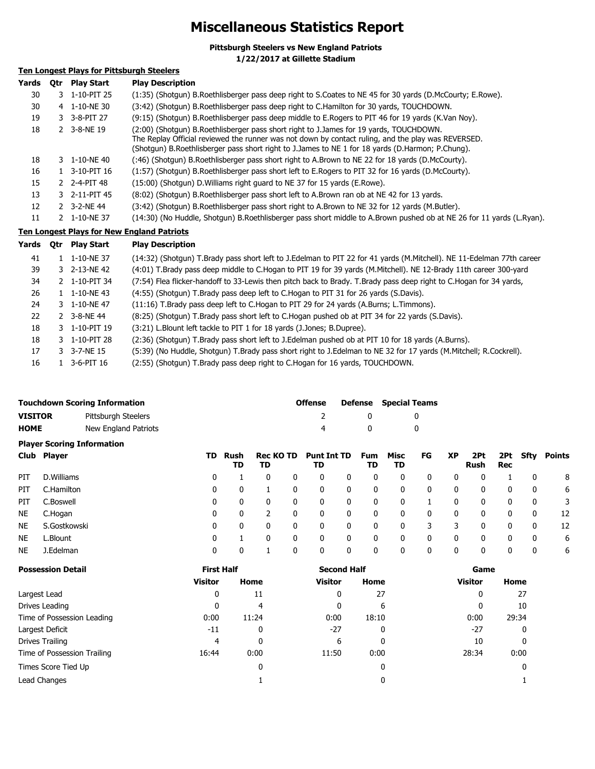# **Miscellaneous Statistics Report**

**Pittsburgh Steelers vs New England Patriots**

**1/22/2017 at Gillette Stadium**

### **Ten Longest Plays for Pittsburgh Steelers**

| Yards | Otr | <b>Play Start</b>         | <b>Play Description</b>                                                                                                                                                                                                                                                                          |
|-------|-----|---------------------------|--------------------------------------------------------------------------------------------------------------------------------------------------------------------------------------------------------------------------------------------------------------------------------------------------|
| 30    |     | 3 1-10-PIT 25             | (1:35) (Shotgun) B.Roethlisberger pass deep right to S.Coates to NE 45 for 30 yards (D.McCourty; E.Rowe).                                                                                                                                                                                        |
| 30    |     | 4 1-10-NE 30              | (3:42) (Shotgun) B.Roethlisberger pass deep right to C.Hamilton for 30 yards, TOUCHDOWN.                                                                                                                                                                                                         |
| 19    |     | 3 3-8-PIT 27              | (9:15) (Shotqun) B.Roethlisberger pass deep middle to E.Rogers to PIT 46 for 19 yards (K.Van Noy).                                                                                                                                                                                               |
| 18    |     | 2 3-8-NE 19               | (2:00) (Shotgun) B.Roethlisberger pass short right to J.James for 19 yards, TOUCHDOWN.<br>The Replay Official reviewed the runner was not down by contact ruling, and the play was REVERSED.<br>(Shotgun) B.Roethlisberger pass short right to J.James to NE 1 for 18 yards (D.Harmon; P.Chung). |
| 18    |     | 3 1-10-NE 40              | (:46) (Shotgun) B.Roethlisberger pass short right to A.Brown to NE 22 for 18 yards (D.McCourty).                                                                                                                                                                                                 |
| 16    |     | $1 \quad 3 - 10 - PIT$ 16 | (1:57) (Shotgun) B.Roethlisberger pass short left to E.Rogers to PIT 32 for 16 yards (D.McCourty).                                                                                                                                                                                               |
| 15    |     | 2 2-4-PIT 48              | (15:00) (Shotgun) D. Williams right guard to NE 37 for 15 yards (E. Rowe).                                                                                                                                                                                                                       |
| 13    |     | 3 2-11-PIT 45             | (8:02) (Shotgun) B.Roethlisberger pass short left to A.Brown ran ob at NE 42 for 13 yards.                                                                                                                                                                                                       |
| 12    |     | 2 3-2-NE 44               | (3:42) (Shotgun) B.Roethlisberger pass short right to A.Brown to NE 32 for 12 yards (M.Butler).                                                                                                                                                                                                  |
| 11    |     | 2 1-10-NE 37              | (14:30) (No Huddle, Shotgun) B.Roethlisberger pass short middle to A.Brown pushed ob at NE 26 for 11 yards (L.Ryan).                                                                                                                                                                             |

### **Ten Longest Plays for New England Patriots**

| Yards | 0tr | <b>Play Start</b> | <b>Play Description</b>                                                                                               |
|-------|-----|-------------------|-----------------------------------------------------------------------------------------------------------------------|
| 41    |     | 1-10-NE 37        | (14:32) (Shotgun) T.Brady pass short left to J.Edelman to PIT 22 for 41 yards (M.Mitchell). NE 11-Edelman 77th career |
| 39    |     | 3 2-13-NE 42      | (4:01) T.Brady pass deep middle to C.Hogan to PIT 19 for 39 yards (M.Mitchell). NE 12-Brady 11th career 300-yard      |
| 34    |     | 2 1-10-PIT 34     | (7:54) Flea flicker-handoff to 33-Lewis then pitch back to Brady. T.Brady pass deep right to C.Hogan for 34 yards,    |
| 26    |     | 1 1-10-NE43       | (4:55) (Shotgun) T.Brady pass deep left to C.Hogan to PIT 31 for 26 yards (S.Davis).                                  |
| 24    |     | 3 1-10-NE 47      | (11:16) T.Brady pass deep left to C.Hogan to PIT 29 for 24 yards (A.Burns; L.Timmons).                                |
| 22    |     | 2 3-8-NE 44       | (8:25) (Shotgun) T.Brady pass short left to C.Hogan pushed ob at PIT 34 for 22 yards (S.Davis).                       |
| 18    |     | 3 1-10-PIT 19     | (3:21) L. Blount left tackle to PIT 1 for 18 yards (J. Jones; B. Dupree).                                             |
| 18    |     | 3 1-10-PIT 28     | (2:36) (Shotgun) T.Brady pass short left to J.Edelman pushed ob at PIT 10 for 18 yards (A.Burns).                     |
| 17    |     | 3 3-7-NE 15       | (5:39) (No Huddle, Shotgun) T.Brady pass short right to J.Edelman to NE 32 for 17 yards (M.Mitchell; R.Cockrell).     |
| 16    |     | 3-6-PIT 16        | (2:55) (Shotgun) T.Brady pass deep right to C.Hogan for 16 yards, TOUCHDOWN.                                          |

| <b>Touchdown Scoring Information</b> |                      | <b>Offense</b> |             | <b>Defense</b> Special Teams |
|--------------------------------------|----------------------|----------------|-------------|------------------------------|
| VISITOR                              | Pittsburgh Steelers  |                | $^{\prime}$ |                              |
| <b>HOME</b>                          | New England Patriots |                | $\Omega$    |                              |

|           | <b>Player Scoring Information</b> |     |            |                        |  |                          |   |                  |            |    |              |             |                   |      |        |
|-----------|-----------------------------------|-----|------------|------------------------|--|--------------------------|---|------------------|------------|----|--------------|-------------|-------------------|------|--------|
|           | Club Player                       | TD. | Rush<br>TD | <b>Rec KO TD</b><br>TD |  | <b>Punt Int TD</b><br>TD |   | <b>Fum</b><br>TD | Misc<br>TD | FG | <b>XP</b>    | 2Pt<br>Rush | 2Pt<br><b>Rec</b> | Sfty | Points |
| PIT       | D. Williams                       | 0   |            |                        |  | 0                        | 0 | 0                |            | 0  |              | 0           |                   |      | 8      |
| PIT       | C.Hamilton                        | 0   |            |                        |  | 0                        | 0 | 0                | 0          | 0  | 0            | 0           | 0                 | 0    | 6      |
| PIT       | C.Boswell                         | 0   | 0          | 0                      |  | 0                        | 0 | 0                |            |    |              | 0           | 0                 | 0    | 3      |
| <b>NE</b> | C.Hogan                           | 0   | 0          |                        |  | 0                        | 0 | 0                | 0          | 0  | $\mathbf{0}$ | 0           | 0                 | 0    | 12     |
| <b>NE</b> | S.Gostkowski                      | 0   | 0          | 0                      |  | 0                        | 0 | 0                | 0          | 3  |              | 0           | $\mathbf{0}$      | 0    | 12     |
| <b>NE</b> | L.Blount                          | 0   |            | 0                      |  | 0                        | 0 | 0                | 0          | 0  | 0            | 0           | 0                 | 0    | 6      |
| <b>NE</b> | J.Edelman                         | 0   |            |                        |  | 0                        | 0 | 0                | $\bf{0}$   | 0  | 0            | 0           | 0                 | 0    | 6      |

| <b>Possession Detail</b>    | <b>First Half</b> |       | <b>Second Half</b> |       | Game           |       |  |
|-----------------------------|-------------------|-------|--------------------|-------|----------------|-------|--|
|                             | <b>Visitor</b>    | Home  | <b>Visitor</b>     | Home  | <b>Visitor</b> | Home  |  |
| Largest Lead                | 0                 | 11    | 0                  | 27    | 0              | 27    |  |
| Drives Leading              | 0                 | 4     | 0                  | 6     | 0              | 10    |  |
| Time of Possession Leading  | 0:00              | 11:24 | 0:00               | 18:10 | 0:00           | 29:34 |  |
| Largest Deficit             | -11               | 0     | $-27$              | 0     | $-27$          | 0     |  |
| Drives Trailing             | 4                 | 0     | 6                  | 0     | 10             | 0     |  |
| Time of Possession Trailing | 16:44             | 0:00  | 11:50              | 0:00  | 28:34          | 0:00  |  |
| Times Score Tied Up         |                   | 0     |                    | 0     |                | 0     |  |
| Lead Changes                |                   |       |                    | 0     |                |       |  |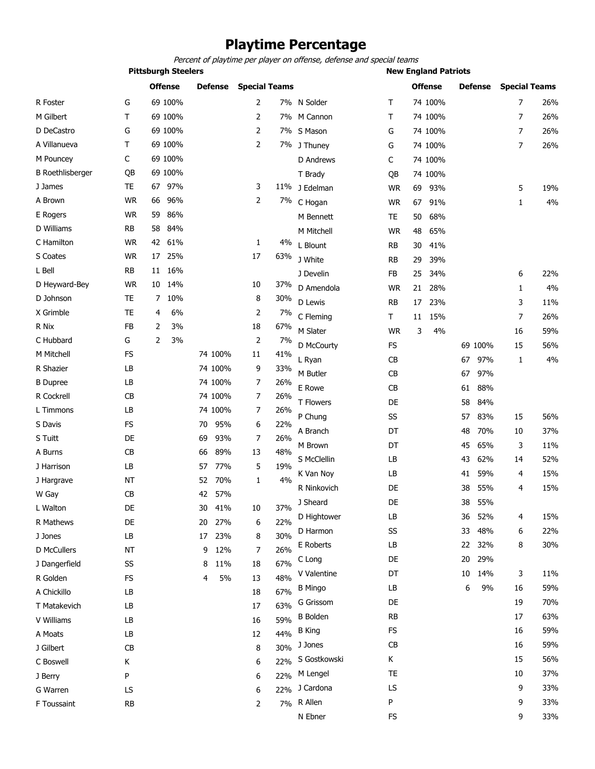# **Playtime Percentage**

*Percent of playtime per player on offense, defense and special teams*

**Pittsburgh Steelers New England Patriots** 

|                         |           | <b>Offense</b>       | <b>Defense</b> | <b>Special Teams</b> |       |                 |           | <b>Offense</b> | <b>Defense</b> | <b>Special Teams</b> |     |
|-------------------------|-----------|----------------------|----------------|----------------------|-------|-----------------|-----------|----------------|----------------|----------------------|-----|
| R Foster                | G         | 69 100%              |                | 2                    |       | 7% N Solder     | Т         | 74 100%        |                | 7                    | 26% |
| M Gilbert               | Τ         | 69 100%              |                | 2                    |       | 7% M Cannon     | Т         | 74 100%        |                | 7                    | 26% |
| D DeCastro              | G         | 69 100%              |                | 2                    |       | 7% S Mason      | G         | 74 100%        |                | $\overline{7}$       | 26% |
| A Villanueva            | T         | 69 100%              |                | $\overline{2}$       |       | 7% J Thuney     | G         | 74 100%        |                | $\overline{7}$       | 26% |
| M Pouncey               | C         | 69 100%              |                |                      |       | D Andrews       | C         | 74 100%        |                |                      |     |
| <b>B</b> Roethlisberger | QB        | 69 100%              |                |                      |       | T Brady         | QB        | 74 100%        |                |                      |     |
| J James                 | <b>TE</b> | 97%<br>67            |                | 3                    |       | 11% J Edelman   | <b>WR</b> | 69<br>93%      |                | 5                    | 19% |
| A Brown                 | <b>WR</b> | 96%<br>66            |                | 2                    |       | 7% C Hogan      | <b>WR</b> | 67<br>91%      |                | $\mathbf{1}$         | 4%  |
| E Rogers                | <b>WR</b> | 59<br>86%            |                |                      |       | M Bennett       | TE        | 68%<br>50      |                |                      |     |
| D Williams              | <b>RB</b> | 58<br>84%            |                |                      |       | M Mitchell      | <b>WR</b> | 48<br>65%      |                |                      |     |
| C Hamilton              | <b>WR</b> | 61%<br>42            |                | 1                    | 4%    | L Blount        | RB        | 30<br>41%      |                |                      |     |
| S Coates                | <b>WR</b> | 25%<br>17            |                | 17                   | 63%   | J White         | <b>RB</b> | 29<br>39%      |                |                      |     |
| L Bell                  | RB        | 11 16%               |                |                      |       | J Develin       | FB        | 25<br>34%      |                | 6                    | 22% |
| D Heyward-Bey           | <b>WR</b> | 10<br>14%            |                | 10                   | 37%   | D Amendola      | <b>WR</b> | 21<br>28%      |                | $\mathbf{1}$         | 4%  |
| D Johnson               | <b>TE</b> | 10%<br>7             |                | 8                    | 30%   | D Lewis         | <b>RB</b> | 17<br>23%      |                | 3                    | 11% |
| X Grimble               | <b>TE</b> | 6%<br>4              |                | 2                    | 7%    | C Fleming       | Τ         | 15%<br>11      |                | 7                    | 26% |
| R Nix                   | FB        | 2<br>3%              |                | 18                   | 67%   | M Slater        | <b>WR</b> | 3<br>4%        |                | 16                   | 59% |
| C Hubbard               | G         | $\overline{2}$<br>3% |                | 2                    | $7\%$ | D McCourty      | <b>FS</b> |                | 69 100%        | 15                   | 56% |
| M Mitchell              | <b>FS</b> |                      | 74 100%        | 11                   | 41%   | L Ryan          | CB        |                | 97%<br>67      | 1                    | 4%  |
| R Shazier               | LB        |                      | 74 100%        | 9                    | 33%   | M Butler        | CB        |                | 97%<br>67      |                      |     |
| <b>B</b> Dupree         | LB        |                      | 74 100%        | 7                    | 26%   | E Rowe          | CB        |                | 88%<br>61      |                      |     |
| R Cockrell              | <b>CB</b> |                      | 74 100%        | 7                    | 26%   | T Flowers       | DE        |                | 58<br>84%      |                      |     |
| L Timmons               | LB        |                      | 74 100%        | 7                    | 26%   | P Chung         | SS        |                | 83%<br>57      | 15                   | 56% |
| S Davis                 | <b>FS</b> |                      | 95%<br>70      | 6                    | 22%   |                 | DT        |                | 70%            |                      | 37% |
| S Tuitt                 | DE        |                      | 69<br>93%      | 7                    | 26%   | A Branch        |           |                | 48             | 10                   |     |
| A Burns                 | CB        |                      | 89%<br>66      | 13                   | 48%   | M Brown         | DT        |                | 65%<br>45      | 3                    | 11% |
| J Harrison              | LB        |                      | 77%<br>57      | 5                    | 19%   | S McClellin     | LB        |                | 62%<br>43      | 14                   | 52% |
| J Hargrave              | <b>NT</b> |                      | 70%<br>52      | 1                    | 4%    | K Van Noy       | LB        |                | 59%<br>41      | 4                    | 15% |
| W Gay                   | <b>CB</b> |                      | 42<br>57%      |                      |       | R Ninkovich     | DE        |                | 55%<br>38      | 4                    | 15% |
| L Walton                | DE        |                      | 30<br>41%      | 10                   | 37%   | J Sheard        | DE        |                | 55%<br>38      |                      |     |
| R Mathews               | DE        |                      | 20 27%         | 6                    | 22%   | D Hightower     | LB        |                | 52%<br>36      | 4                    | 15% |
| J Jones                 | LB        |                      | 17<br>23%      | 8                    | 30%   | D Harmon        | SS        |                | 33<br>48%      | 6                    | 22% |
| <b>D</b> McCullers      | <b>NT</b> |                      | 12%<br>9       | 7                    | 26%   | E Roberts       | LB        |                | 22 32%         | 8                    | 30% |
| J Dangerfield           | SS        |                      | 8<br>11%       | 18                   | 67%   | C Long          | DE        |                | 29%<br>20      |                      |     |
| R Golden                | FS        |                      | 5%<br>4        | 13                   | 48%   | V Valentine     | DT        |                | 14%<br>10      | 3                    | 11% |
| A Chickillo             | LB        |                      |                | 18                   | 67%   | <b>B</b> Mingo  | LB        |                | 6<br>9%        | 16                   | 59% |
| T Matakevich            | LB        |                      |                | 17                   | 63%   | G Grissom       | DE        |                |                | 19                   | 70% |
| V Williams              | LB        |                      |                | 16                   | 59%   | <b>B</b> Bolden | <b>RB</b> |                |                | 17                   | 63% |
| A Moats                 | LB        |                      |                | 12                   | 44%   | <b>B</b> King   | FS        |                |                | 16                   | 59% |
| J Gilbert               | <b>CB</b> |                      |                | 8                    | 30%   | J Jones         | <b>CB</b> |                |                | 16                   | 59% |
| C Boswell               | Κ         |                      |                | 6                    | 22%   | S Gostkowski    | Κ         |                |                | 15                   | 56% |
| J Berry                 | P         |                      |                | 6                    | 22%   | M Lengel        | TE        |                |                | 10                   | 37% |
| G Warren                | LS        |                      |                | 6                    | 22%   | J Cardona       | LS        |                |                | 9                    | 33% |
| F Toussaint             | <b>RB</b> |                      |                | 2                    | 7%    | R Allen         | P         |                |                | 9                    | 33% |
|                         |           |                      |                |                      |       | N Ebner         | <b>FS</b> |                |                | 9                    | 33% |